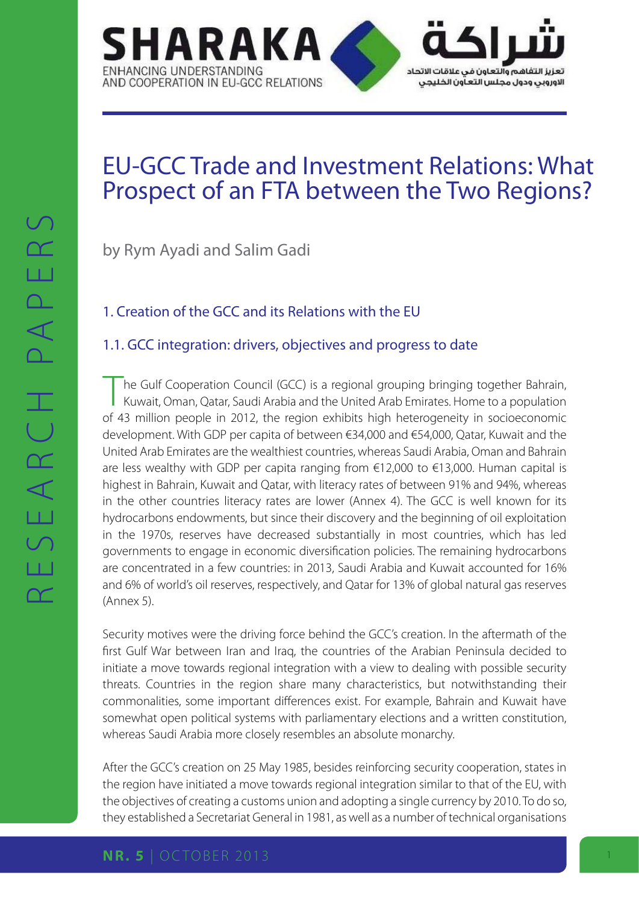

# EU-GCC Trade and Investment Relations: What Prospect of an FTA between the Two Regions?

by Rym Ayadi and Salim Gadi

# 1. Creation of the GCC and its Relations with the EU

# 1.1. GCC integration: drivers, objectives and progress to date

The Gulf Cooperation Council (GCC) is a regional grouping bringing together Bahrain,<br>Kuwait, Oman, Qatar, Saudi Arabia and the United Arab Emirates. Home to a population of 43 million people in 2012, the region exhibits high heterogeneity in socioeconomic development. With GDP per capita of between €34,000 and €54,000, Qatar, Kuwait and the United Arab Emirates are the wealthiest countries, whereas Saudi Arabia, Oman and Bahrain are less wealthy with GDP per capita ranging from  $\epsilon$ 12,000 to  $\epsilon$ 13,000. Human capital is highest in Bahrain, Kuwait and Qatar, with literacy rates of between 91% and 94%, whereas in the other countries literacy rates are lower (Annex 4). The GCC is well known for its hydrocarbons endowments, but since their discovery and the beginning of oil exploitation in the 1970s, reserves have decreased substantially in most countries, which has led governments to engage in economic diversification policies. The remaining hydrocarbons are concentrated in a few countries: in 2013, Saudi Arabia and Kuwait accounted for 16% and 6% of world's oil reserves, respectively, and Qatar for 13% of global natural gas reserves (Annex 5).

Security motives were the driving force behind the GCC's creation. In the aftermath of the first Gulf War between Iran and Iraq, the countries of the Arabian Peninsula decided to initiate a move towards regional integration with a view to dealing with possible security threats. Countries in the region share many characteristics, but notwithstanding their commonalities, some important differences exist. For example, Bahrain and Kuwait have somewhat open political systems with parliamentary elections and a written constitution, whereas Saudi Arabia more closely resembles an absolute monarchy.

After the GCC's creation on 25 May 1985, besides reinforcing security cooperation, states in the region have initiated a move towards regional integration similar to that of the EU, with the objectives of creating a customs union and adopting a single currency by 2010. To do so, they established a Secretariat General in 1981, as well as a number of technical organisations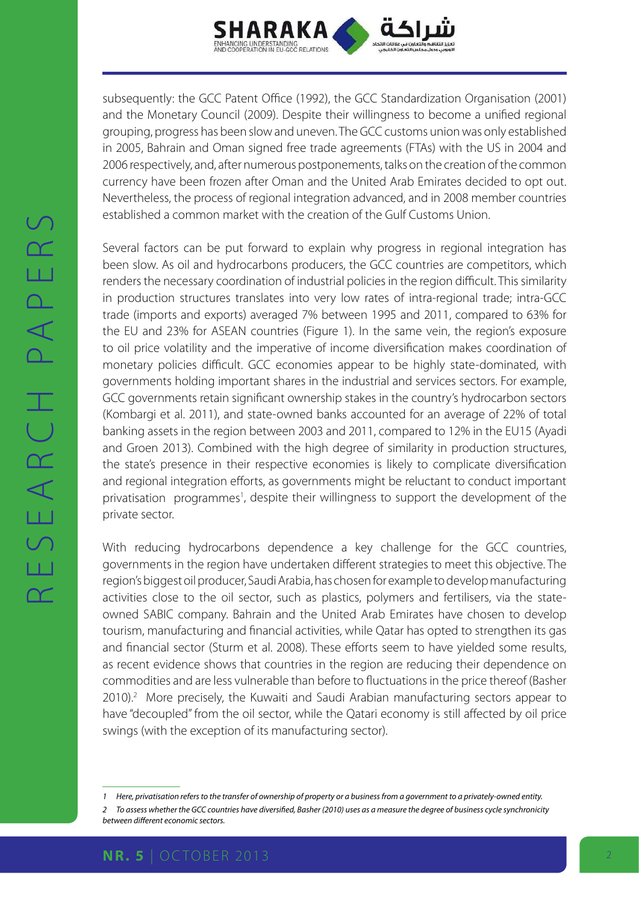

subsequently: the GCC Patent Office (1992), the GCC Standardization Organisation (2001) and the Monetary Council (2009). Despite their willingness to become a unified regional grouping, progress has been slow and uneven. The GCC customs union was only established in 2005, Bahrain and Oman signed free trade agreements (FTAs) with the US in 2004 and 2006 respectively, and, after numerous postponements, talks on the creation of the common currency have been frozen after Oman and the United Arab Emirates decided to opt out. Nevertheless, the process of regional integration advanced, and in 2008 member countries established a common market with the creation of the Gulf Customs Union.

Several factors can be put forward to explain why progress in regional integration has been slow. As oil and hydrocarbons producers, the GCC countries are competitors, which renders the necessary coordination of industrial policies in the region difficult. This similarity in production structures translates into very low rates of intra-regional trade; intra-GCC trade (imports and exports) averaged 7% between 1995 and 2011, compared to 63% for the EU and 23% for ASEAN countries (Figure 1). In the same vein, the region's exposure to oil price volatility and the imperative of income diversification makes coordination of monetary policies difficult. GCC economies appear to be highly state-dominated, with governments holding important shares in the industrial and services sectors. For example, GCC governments retain significant ownership stakes in the country's hydrocarbon sectors (Kombargi et al. 2011), and state-owned banks accounted for an average of 22% of total banking assets in the region between 2003 and 2011, compared to 12% in the EU15 (Ayadi and Groen 2013). Combined with the high degree of similarity in production structures, the state's presence in their respective economies is likely to complicate diversification and regional integration efforts, as governments might be reluctant to conduct important privatisation programmes<sup>1</sup>, despite their willingness to support the development of the private sector.

With reducing hydrocarbons dependence a key challenge for the GCC countries, governments in the region have undertaken different strategies to meet this objective. The region's biggest oil producer, Saudi Arabia, has chosen for example to develop manufacturing activities close to the oil sector, such as plastics, polymers and fertilisers, via the stateowned SABIC company. Bahrain and the United Arab Emirates have chosen to develop tourism, manufacturing and financial activities, while Qatar has opted to strengthen its gas and financial sector (Sturm et al. 2008). These efforts seem to have yielded some results, as recent evidence shows that countries in the region are reducing their dependence on commodities and are less vulnerable than before to fluctuations in the price thereof (Basher 2010).<sup>2</sup> More precisely, the Kuwaiti and Saudi Arabian manufacturing sectors appear to have "decoupled" from the oil sector, while the Qatari economy is still affected by oil price swings (with the exception of its manufacturing sector).

*between different economic sectors.*

*<sup>1</sup> Here, privatisation refers to the transfer of ownership of property or a business from a government to a privately-owned entity. 2 To assess whether the GCC countries have diversified, Basher (2010) uses as a measure the degree of business cycle synchronicity*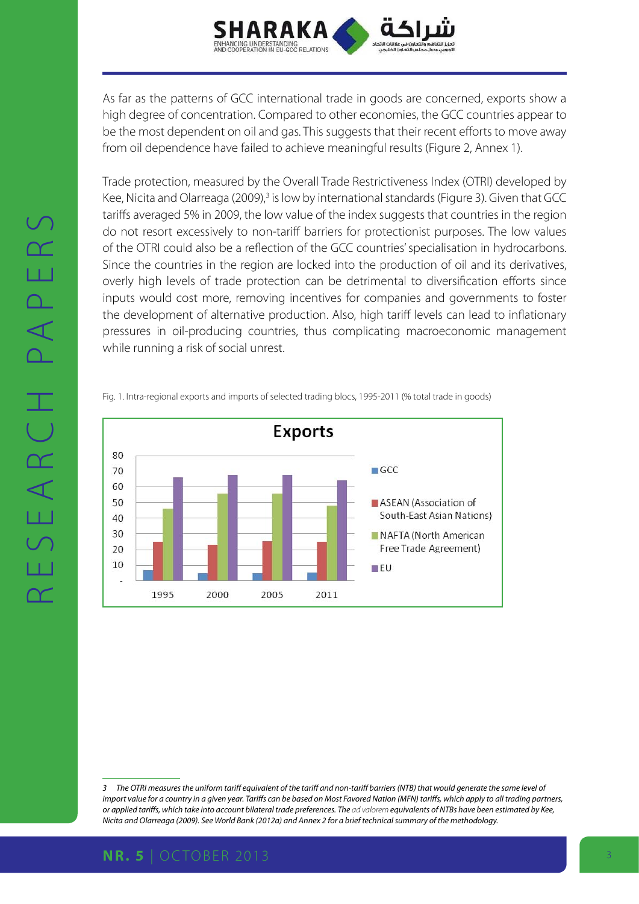

As far as the patterns of GCC international trade in goods are concerned, exports show a high degree of concentration. Compared to other economies, the GCC countries appear to be the most dependent on oil and gas. This suggests that their recent efforts to move away from oil dependence have failed to achieve meaningful results (Figure 2, Annex 1).

Trade protection, measured by the Overall Trade Restrictiveness Index (OTRI) developed by Kee, Nicita and Olarreaga (2009),<sup>3</sup> is low by international standards (Figure 3). Given that GCC tariffs averaged 5% in 2009, the low value of the index suggests that countries in the region do not resort excessively to non-tariff barriers for protectionist purposes. The low values of the OTRI could also be a reflection of the GCC countries' specialisation in hydrocarbons. Since the countries in the region are locked into the production of oil and its derivatives, overly high levels of trade protection can be detrimental to diversification efforts since inputs would cost more, removing incentives for companies and governments to foster the development of alternative production. Also, high tariff levels can lead to inflationary pressures in oil-producing countries, thus complicating macroeconomic management while running a risk of social unrest.

Fig. 1. Intra-regional exports and imports of selected trading blocs, 1995-2011 (% total trade in goods)



*<sup>3</sup> The OTRI measures the uniform tariff equivalent of the tariff and non-tariff barriers (NTB) that would generate the same level of import value for a country in a given year. Tariffs can be based on Most Favored Nation (MFN) tariffs, which apply to all trading partners, or applied tariffs, which take into account bilateral trade preferences. The ad valorem equivalents of NTBs have been estimated by Kee, Nicita and Olarreaga (2009). See World Bank (2012a) and Annex 2 for a brief technical summary of the methodology.*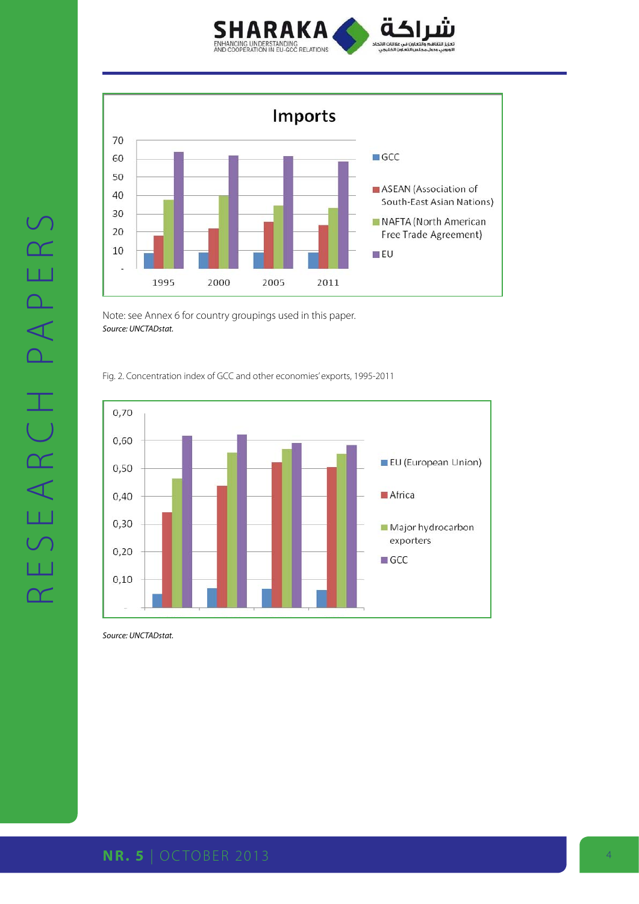



Note: see Annex 6 for country groupings used in this paper. *Source: UNCTADstat.*

Fig. 2. Concentration index of GCC and other economies' exports, 1995-2011



*Source: UNCTADstat.*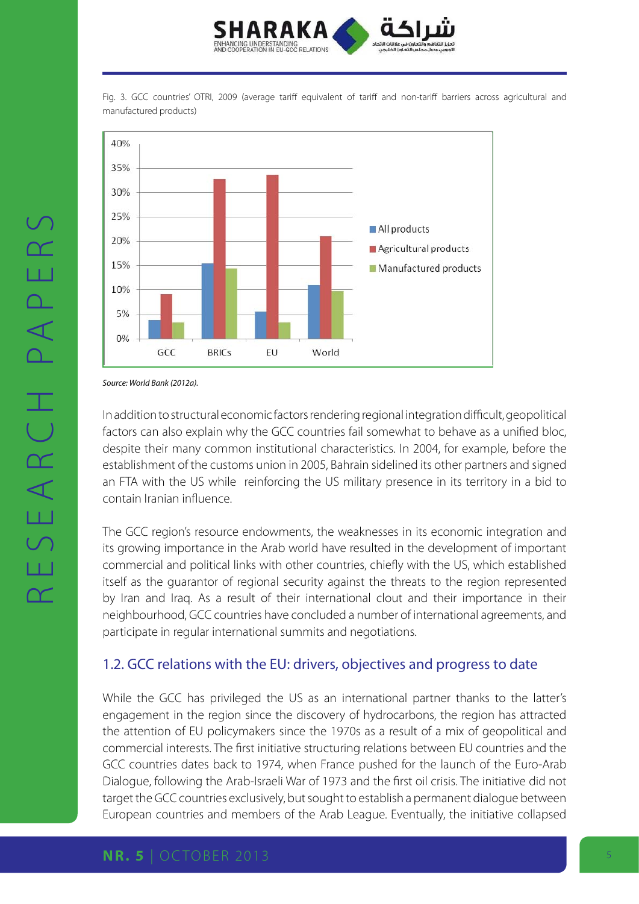

Fig. 3. GCC countries' OTRI, 2009 (average tariff equivalent of tariff and non-tariff barriers across agricultural and manufactured products)



*Source: World Bank (2012a).*

In addition to structural economic factors rendering regional integration difficult, geopolitical factors can also explain why the GCC countries fail somewhat to behave as a unified bloc, despite their many common institutional characteristics. In 2004, for example, before the establishment of the customs union in 2005, Bahrain sidelined its other partners and signed an FTA with the US while reinforcing the US military presence in its territory in a bid to contain Iranian influence.

The GCC region's resource endowments, the weaknesses in its economic integration and its growing importance in the Arab world have resulted in the development of important commercial and political links with other countries, chiefly with the US, which established itself as the guarantor of regional security against the threats to the region represented by Iran and Iraq. As a result of their international clout and their importance in their neighbourhood, GCC countries have concluded a number of international agreements, and participate in regular international summits and negotiations.

# 1.2. GCC relations with the EU: drivers, objectives and progress to date

While the GCC has privileged the US as an international partner thanks to the latter's engagement in the region since the discovery of hydrocarbons, the region has attracted the attention of EU policymakers since the 1970s as a result of a mix of geopolitical and commercial interests. The first initiative structuring relations between EU countries and the GCC countries dates back to 1974, when France pushed for the launch of the Euro-Arab Dialogue, following the Arab-Israeli War of 1973 and the first oil crisis. The initiative did not target the GCC countries exclusively, but sought to establish a permanent dialogue between European countries and members of the Arab League. Eventually, the initiative collapsed

### **NR. 5** | OCTOBER 2013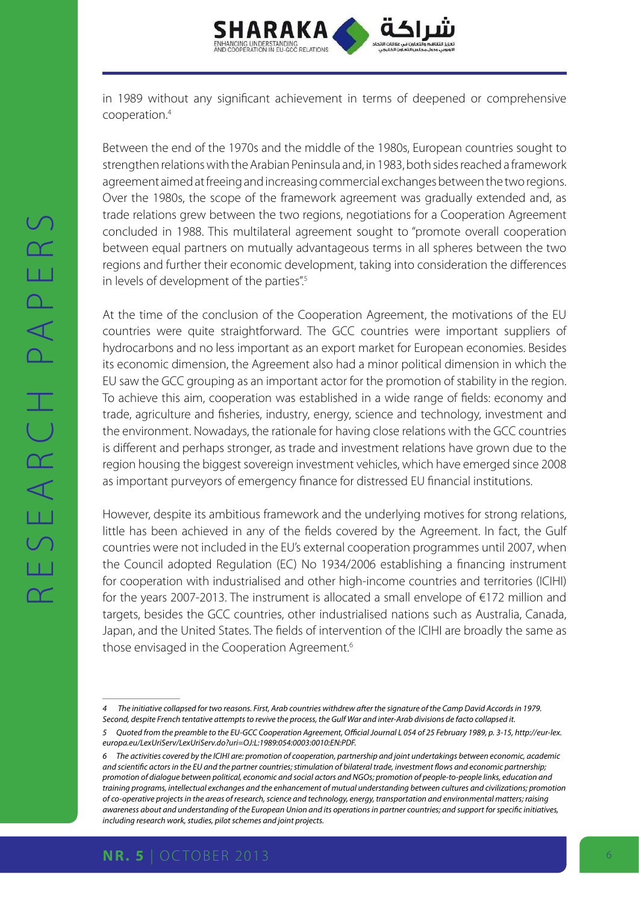

in 1989 without any significant achievement in terms of deepened or comprehensive cooperation.4

Between the end of the 1970s and the middle of the 1980s, European countries sought to strengthen relations with the Arabian Peninsula and, in 1983, both sides reached a framework agreement aimed at freeing and increasing commercial exchanges between the two regions. Over the 1980s, the scope of the framework agreement was gradually extended and, as trade relations grew between the two regions, negotiations for a Cooperation Agreement concluded in 1988. This multilateral agreement sought to "promote overall cooperation between equal partners on mutually advantageous terms in all spheres between the two regions and further their economic development, taking into consideration the differences in levels of development of the parties".<sup>5</sup>

At the time of the conclusion of the Cooperation Agreement, the motivations of the EU countries were quite straightforward. The GCC countries were important suppliers of hydrocarbons and no less important as an export market for European economies. Besides its economic dimension, the Agreement also had a minor political dimension in which the EU saw the GCC grouping as an important actor for the promotion of stability in the region. To achieve this aim, cooperation was established in a wide range of fields: economy and trade, agriculture and fisheries, industry, energy, science and technology, investment and the environment. Nowadays, the rationale for having close relations with the GCC countries is different and perhaps stronger, as trade and investment relations have grown due to the region housing the biggest sovereign investment vehicles, which have emerged since 2008 as important purveyors of emergency finance for distressed EU financial institutions.

However, despite its ambitious framework and the underlying motives for strong relations, little has been achieved in any of the fields covered by the Agreement. In fact, the Gulf countries were not included in the EU's external cooperation programmes until 2007, when the Council adopted Regulation (EC) No 1934/2006 establishing a financing instrument for cooperation with industrialised and other high-income countries and territories (ICIHI) for the years 2007-2013. The instrument is allocated a small envelope of €172 million and targets, besides the GCC countries, other industrialised nations such as Australia, Canada, Japan, and the United States. The fields of intervention of the ICIHI are broadly the same as those envisaged in the Cooperation Agreement.<sup>6</sup>

*<sup>4</sup> The initiative collapsed for two reasons. First, Arab countries withdrew after the signature of the Camp David Accords in 1979. Second, despite French tentative attempts to revive the process, the Gulf War and inter-Arab divisions de facto collapsed it.*

*<sup>5</sup> Quoted from the preamble to the EU-GCC Cooperation Agreement, Official Journal L 054 of 25 February 1989, p. 3-15, [http://eur-lex.](http://eur-lex.europa.eu/LexUriServ/LexUriServ.do?uri=OJ:L:1989:054:0003:0010:EN:PDF.) [europa.eu/LexUriServ/LexUriServ.do?uri=OJ:L:1989:054:0003:0010:EN:PDF.](http://eur-lex.europa.eu/LexUriServ/LexUriServ.do?uri=OJ:L:1989:054:0003:0010:EN:PDF.)*

*<sup>6</sup> The activities covered by the ICIHI are: promotion of cooperation, partnership and joint undertakings between economic, academic and scientific actors in the EU and the partner countries; stimulation of bilateral trade, investment flows and economic partnership; promotion of dialogue between political, economic and social actors and NGOs; promotion of people-to-people links, education and training programs, intellectual exchanges and the enhancement of mutual understanding between cultures and civilizations; promotion of co-operative projects in the areas of research, science and technology, energy, transportation and environmental matters; raising awareness about and understanding of the European Union and its operations in partner countries; and support for specific initiatives, including research work, studies, pilot schemes and joint projects.*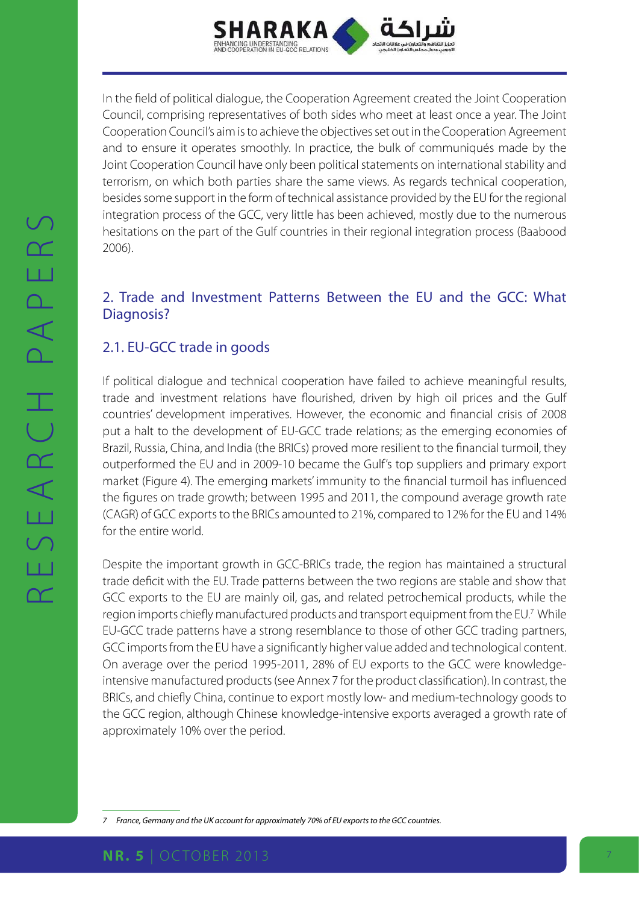

In the field of political dialogue, the Cooperation Agreement created the Joint Cooperation Council, comprising representatives of both sides who meet at least once a year. The Joint Cooperation Council's aim is to achieve the objectives set out in the Cooperation Agreement and to ensure it operates smoothly. In practice, the bulk of communiqués made by the Joint Cooperation Council have only been political statements on international stability and terrorism, on which both parties share the same views. As regards technical cooperation, besides some support in the form of technical assistance provided by the EU for the regional integration process of the GCC, very little has been achieved, mostly due to the numerous hesitations on the part of the Gulf countries in their regional integration process (Baabood 2006).

# 2. Trade and Investment Patterns Between the EU and the GCC: What Diagnosis?

# 2.1. EU-GCC trade in goods

If political dialogue and technical cooperation have failed to achieve meaningful results, trade and investment relations have flourished, driven by high oil prices and the Gulf countries' development imperatives. However, the economic and financial crisis of 2008 put a halt to the development of EU-GCC trade relations; as the emerging economies of Brazil, Russia, China, and India (the BRICs) proved more resilient to the financial turmoil, they outperformed the EU and in 2009-10 became the Gulf's top suppliers and primary export market (Figure 4). The emerging markets' immunity to the financial turmoil has influenced the figures on trade growth; between 1995 and 2011, the compound average growth rate (CAGR) of GCC exports to the BRICs amounted to 21%, compared to 12% for the EU and 14% for the entire world.

Despite the important growth in GCC-BRICs trade, the region has maintained a structural trade deficit with the EU. Trade patterns between the two regions are stable and show that GCC exports to the EU are mainly oil, gas, and related petrochemical products, while the region imports chiefly manufactured products and transport equipment from the EU.<sup>7</sup> While EU-GCC trade patterns have a strong resemblance to those of other GCC trading partners, GCC imports from the EU have a significantly higher value added and technological content. On average over the period 1995-2011, 28% of EU exports to the GCC were knowledgeintensive manufactured products (see Annex 7 for the product classification). In contrast, the BRICs, and chiefly China, continue to export mostly low- and medium-technology goods to the GCC region, although Chinese knowledge-intensive exports averaged a growth rate of approximately 10% over the period.

*<sup>7</sup> France, Germany and the UK account for approximately 70% of EU exports to the GCC countries.*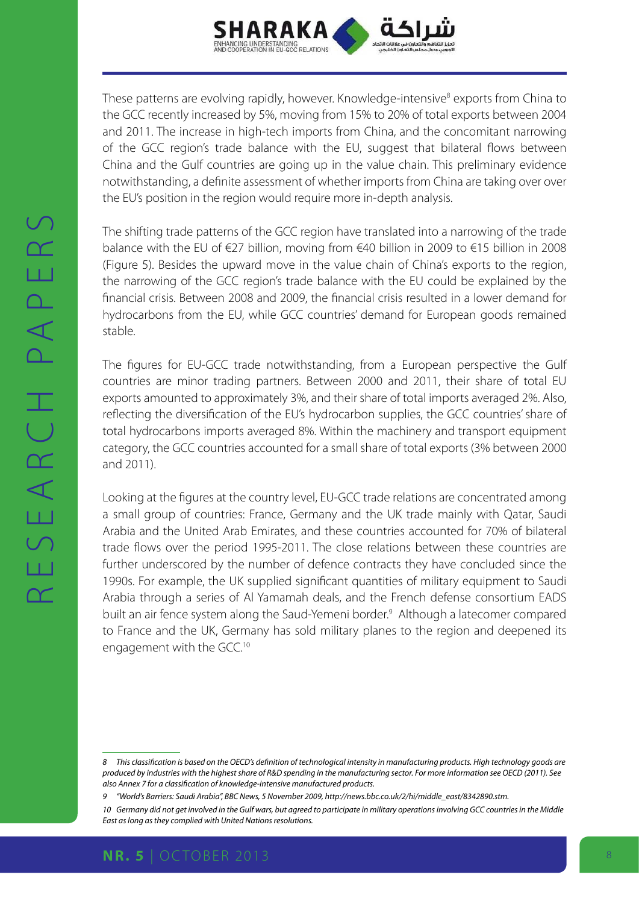

These patterns are evolving rapidly, however. Knowledge-intensive<sup>8</sup> exports from China to the GCC recently increased by 5%, moving from 15% to 20% of total exports between 2004 and 2011. The increase in high-tech imports from China, and the concomitant narrowing of the GCC region's trade balance with the EU, suggest that bilateral flows between China and the Gulf countries are going up in the value chain. This preliminary evidence notwithstanding, a definite assessment of whether imports from China are taking over over the EU's position in the region would require more in-depth analysis.

The shifting trade patterns of the GCC region have translated into a narrowing of the trade balance with the EU of €27 billion, moving from €40 billion in 2009 to €15 billion in 2008 (Figure 5). Besides the upward move in the value chain of China's exports to the region, the narrowing of the GCC region's trade balance with the EU could be explained by the financial crisis. Between 2008 and 2009, the financial crisis resulted in a lower demand for hydrocarbons from the EU, while GCC countries' demand for European goods remained stable.

The figures for EU-GCC trade notwithstanding, from a European perspective the Gulf countries are minor trading partners. Between 2000 and 2011, their share of total EU exports amounted to approximately 3%, and their share of total imports averaged 2%. Also, reflecting the diversification of the EU's hydrocarbon supplies, the GCC countries' share of total hydrocarbons imports averaged 8%. Within the machinery and transport equipment category, the GCC countries accounted for a small share of total exports (3% between 2000 and 2011).

Looking at the figures at the country level, EU-GCC trade relations are concentrated among a small group of countries: France, Germany and the UK trade mainly with Qatar, Saudi Arabia and the United Arab Emirates, and these countries accounted for 70% of bilateral trade flows over the period 1995-2011. The close relations between these countries are further underscored by the number of defence contracts they have concluded since the 1990s. For example, the UK supplied significant quantities of military equipment to Saudi Arabia through a series of Al Yamamah deals, and the French defense consortium EADS built an air fence system along the Saud-Yemeni border.<sup>9</sup> Although a latecomer compared to France and the UK, Germany has sold military planes to the region and deepened its engagement with the GCC.<sup>10</sup>

*<sup>8</sup> This classification is based on the OECD's definition of technological intensity in manufacturing products. High technology goods are produced by industries with the highest share of R&D spending in the manufacturing sector. For more information see OECD (2011). See also Annex 7 for a classification of knowledge-intensive manufactured products.*

*<sup>9</sup> "World's Barriers: Saudi Arabia", BBC News, 5 November 2009, http://news.bbc.co.uk/2/hi/middle\_east/8342890.stm.*

*<sup>10</sup> Germany did not get involved in the Gulf wars, but agreed to participate in military operations involving GCC countries in the Middle East as long as they complied with United Nations resolutions.*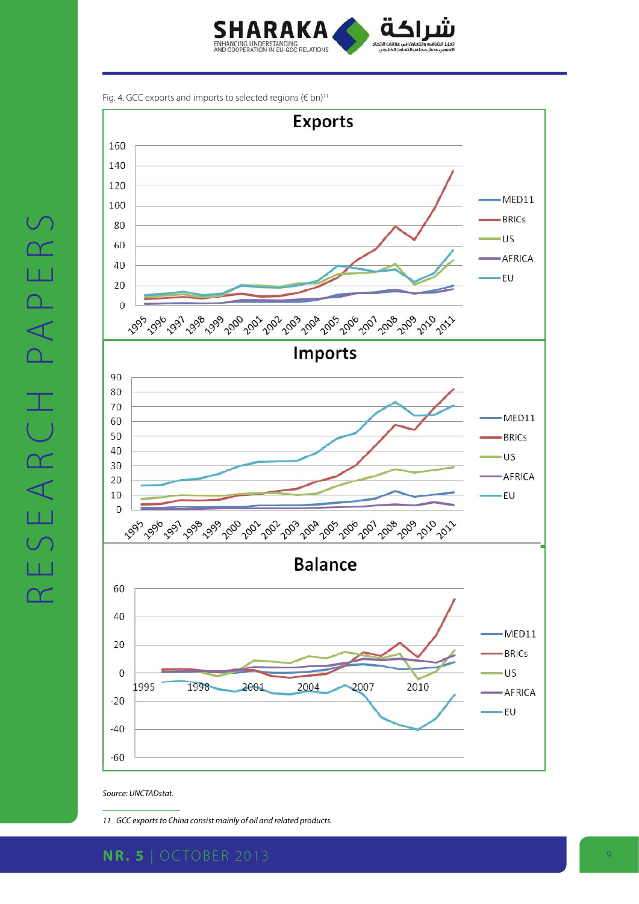

Fig. 4. GCC exports and imports to selected regions ( $\notin$  bn)<sup>11</sup>



*Source: UNCTADstat.*

*11 GCC exports to China consist mainly of oil and related products.*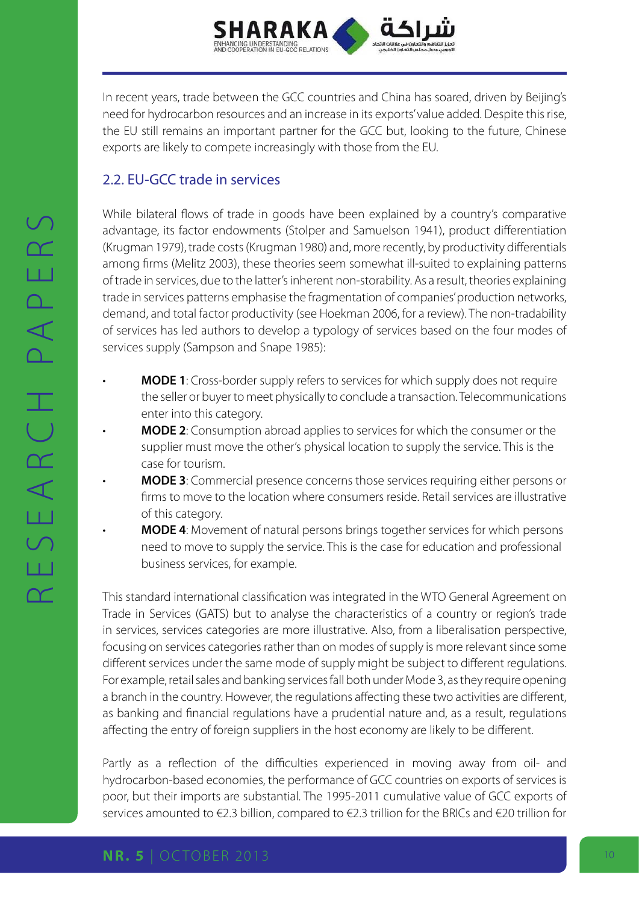

In recent years, trade between the GCC countries and China has soared, driven by Beijing's need for hydrocarbon resources and an increase in its exports' value added. Despite this rise, the EU still remains an important partner for the GCC but, looking to the future, Chinese exports are likely to compete increasingly with those from the EU.

# 2.2. EU-GCC trade in services

While bilateral flows of trade in goods have been explained by a country's comparative advantage, its factor endowments (Stolper and Samuelson 1941), product differentiation (Krugman 1979), trade costs (Krugman 1980) and, more recently, by productivity differentials among firms (Melitz 2003), these theories seem somewhat ill-suited to explaining patterns of trade in services, due to the latter's inherent non-storability. As a result, theories explaining trade in services patterns emphasise the fragmentation of companies' production networks, demand, and total factor productivity (see Hoekman 2006, for a review). The non-tradability of services has led authors to develop a typology of services based on the four modes of services supply (Sampson and Snape 1985):

- **MODE 1**: Cross-border supply refers to services for which supply does not require the seller or buyer to meet physically to conclude a transaction. Telecommunications enter into this category.
- **MODE 2**: Consumption abroad applies to services for which the consumer or the supplier must move the other's physical location to supply the service. This is the case for tourism.
- **MODE 3**: Commercial presence concerns those services requiring either persons or firms to move to the location where consumers reside. Retail services are illustrative of this category.
- **MODE 4**: Movement of natural persons brings together services for which persons need to move to supply the service. This is the case for education and professional business services, for example.

This standard international classification was integrated in the WTO General Agreement on Trade in Services (GATS) but to analyse the characteristics of a country or region's trade in services, services categories are more illustrative. Also, from a liberalisation perspective, focusing on services categories rather than on modes of supply is more relevant since some different services under the same mode of supply might be subject to different regulations. For example, retail sales and banking services fall both under Mode 3, as they require opening a branch in the country. However, the regulations affecting these two activities are different, as banking and financial regulations have a prudential nature and, as a result, regulations affecting the entry of foreign suppliers in the host economy are likely to be different.

Partly as a reflection of the difficulties experienced in moving away from oil- and hydrocarbon-based economies, the performance of GCC countries on exports of services is poor, but their imports are substantial. The 1995-2011 cumulative value of GCC exports of services amounted to €2.3 billion, compared to €2.3 trillion for the BRICs and €20 trillion for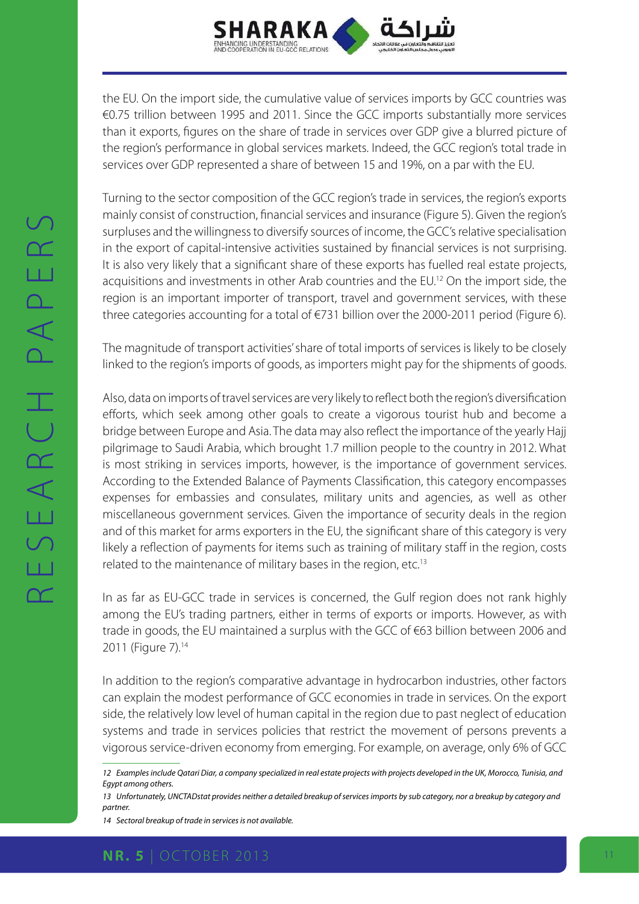

the EU. On the import side, the cumulative value of services imports by GCC countries was €0.75 trillion between 1995 and 2011. Since the GCC imports substantially more services than it exports, figures on the share of trade in services over GDP give a blurred picture of the region's performance in global services markets. Indeed, the GCC region's total trade in services over GDP represented a share of between 15 and 19%, on a par with the EU.

Turning to the sector composition of the GCC region's trade in services, the region's exports mainly consist of construction, financial services and insurance (Figure 5). Given the region's surpluses and the willingness to diversify sources of income, the GCC's relative specialisation in the export of capital-intensive activities sustained by financial services is not surprising. It is also very likely that a significant share of these exports has fuelled real estate projects, acquisitions and investments in other Arab countries and the EU.<sup>12</sup> On the import side, the region is an important importer of transport, travel and government services, with these three categories accounting for a total of €731 billion over the 2000-2011 period (Figure 6).

The magnitude of transport activities' share of total imports of services is likely to be closely linked to the region's imports of goods, as importers might pay for the shipments of goods.

Also, data on imports of travel services are very likely to reflect both the region's diversification efforts, which seek among other goals to create a vigorous tourist hub and become a bridge between Europe and Asia. The data may also reflect the importance of the yearly Hajj pilgrimage to Saudi Arabia, which brought 1.7 million people to the country in 2012. What is most striking in services imports, however, is the importance of government services. According to the Extended Balance of Payments Classification, this category encompasses expenses for embassies and consulates, military units and agencies, as well as other miscellaneous government services. Given the importance of security deals in the region and of this market for arms exporters in the EU, the significant share of this category is very likely a reflection of payments for items such as training of military staff in the region, costs related to the maintenance of military bases in the region, etc.<sup>13</sup>

In as far as EU-GCC trade in services is concerned, the Gulf region does not rank highly among the EU's trading partners, either in terms of exports or imports. However, as with trade in goods, the EU maintained a surplus with the GCC of €63 billion between 2006 and 2011 (Figure 7).<sup>14</sup>

In addition to the region's comparative advantage in hydrocarbon industries, other factors can explain the modest performance of GCC economies in trade in services. On the export side, the relatively low level of human capital in the region due to past neglect of education systems and trade in services policies that restrict the movement of persons prevents a vigorous service-driven economy from emerging. For example, on average, only 6% of GCC

*<sup>12</sup> Examples include Qatari Diar, a company specialized in real estate projects with projects developed in the UK, Morocco, Tunisia, and Egypt among others.*

*<sup>13</sup> Unfortunately, UNCTADstat provides neither a detailed breakup of services imports by sub category, nor a breakup by category and partner.*

*<sup>14</sup> Sectoral breakup of trade in services is not available.*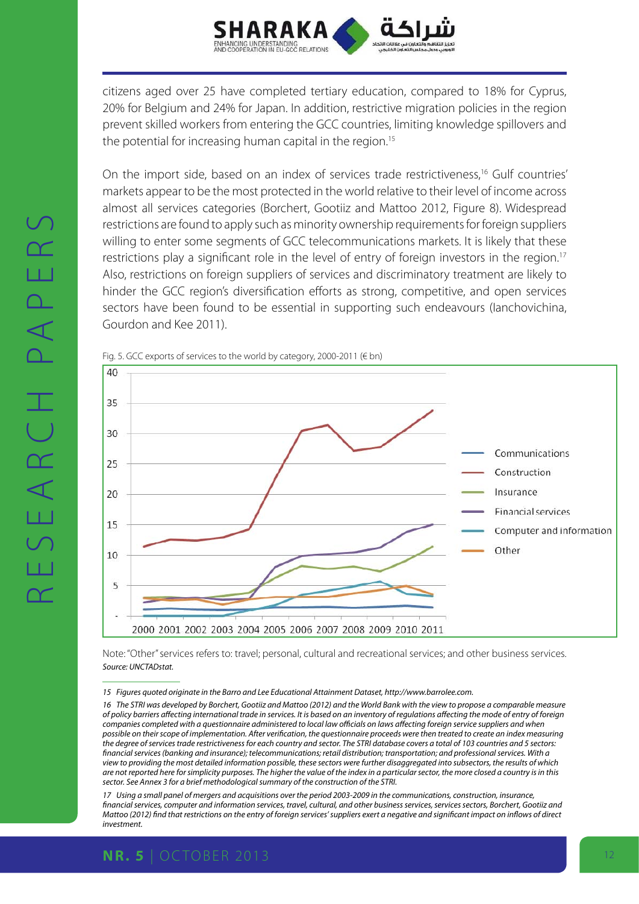

citizens aged over 25 have completed tertiary education, compared to 18% for Cyprus, 20% for Belgium and 24% for Japan. In addition, restrictive migration policies in the region prevent skilled workers from entering the GCC countries, limiting knowledge spillovers and the potential for increasing human capital in the region.<sup>15</sup>

On the import side, based on an index of services trade restrictiveness,<sup>16</sup> Gulf countries' markets appear to be the most protected in the world relative to their level of income across almost all services categories (Borchert, Gootiiz and Mattoo 2012, Figure 8). Widespread restrictions are found to apply such as minority ownership requirements for foreign suppliers willing to enter some segments of GCC telecommunications markets. It is likely that these restrictions play a significant role in the level of entry of foreign investors in the region.<sup>17</sup> Also, restrictions on foreign suppliers of services and discriminatory treatment are likely to hinder the GCC region's diversification efforts as strong, competitive, and open services sectors have been found to be essential in supporting such endeavours (Ianchovichina, Gourdon and Kee 2011).





Note: "Other" services refers to: travel; personal, cultural and recreational services; and other business services. *Source: UNCTADstat.*

*15 Figures quoted originate in the Barro and Lee Educational Attainment Dataset, http://www.barrolee.com.*

*17 Using a small panel of mergers and acquisitions over the period 2003-2009 in the communications, construction, insurance, financial services, computer and information services, travel, cultural, and other business services, services sectors, Borchert, Gootiiz and Mattoo (2012) find that restrictions on the entry of foreign services' suppliers exert a negative and significant impact on inflows of direct investment.*

*<sup>16</sup> The STRI was developed by Borchert, Gootiiz and Mattoo (2012) and the World Bank with the view to propose a comparable measure of policy barriers affecting international trade in services. It is based on an inventory of regulations affecting the mode of entry of foreign companies completed with a questionnaire administered to local law officials on laws affecting foreign service suppliers and when possible on their scope of implementation. After verification, the questionnaire proceeds were then treated to create an index measuring the degree of services trade restrictiveness for each country and sector. The STRI database covers a total of 103 countries and 5 sectors: financial services (banking and insurance); telecommunications; retail distribution; transportation; and professional services. With a view to providing the most detailed information possible, these sectors were further disaggregated into subsectors, the results of which are not reported here for simplicity purposes. The higher the value of the index in a particular sector, the more closed a country is in this sector. See Annex 3 for a brief methodological summary of the construction of the STRI.*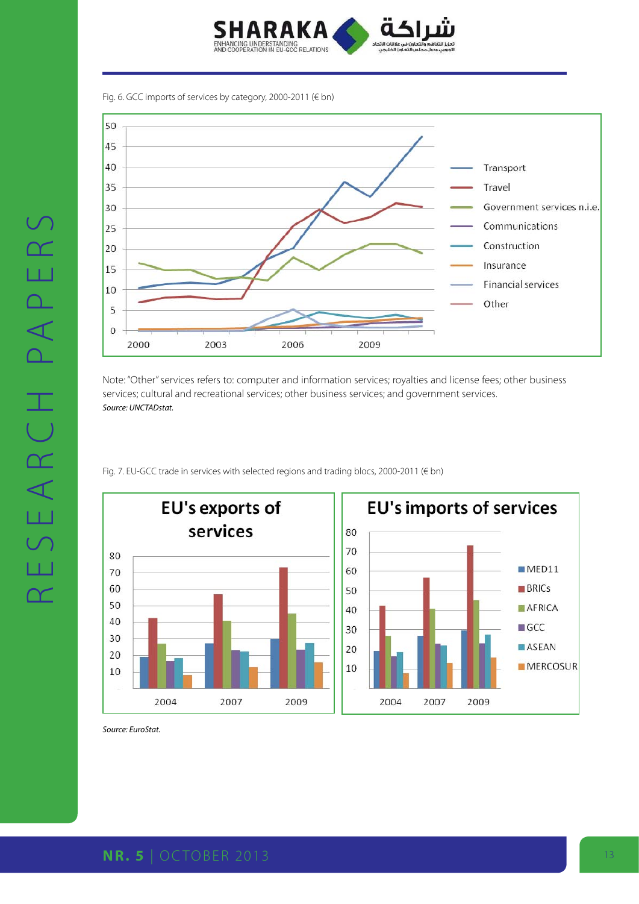

Fig. 6. GCC imports of services by category, 2000-2011 (€ bn)



Note: "Other" services refers to: computer and information services; royalties and license fees; other business services; cultural and recreational services; other business services; and government services. *Source: UNCTADstat.*

Fig. 7. EU-GCC trade in services with selected regions and trading blocs, 2000-2011 (€ bn)



*Source: EuroStat.*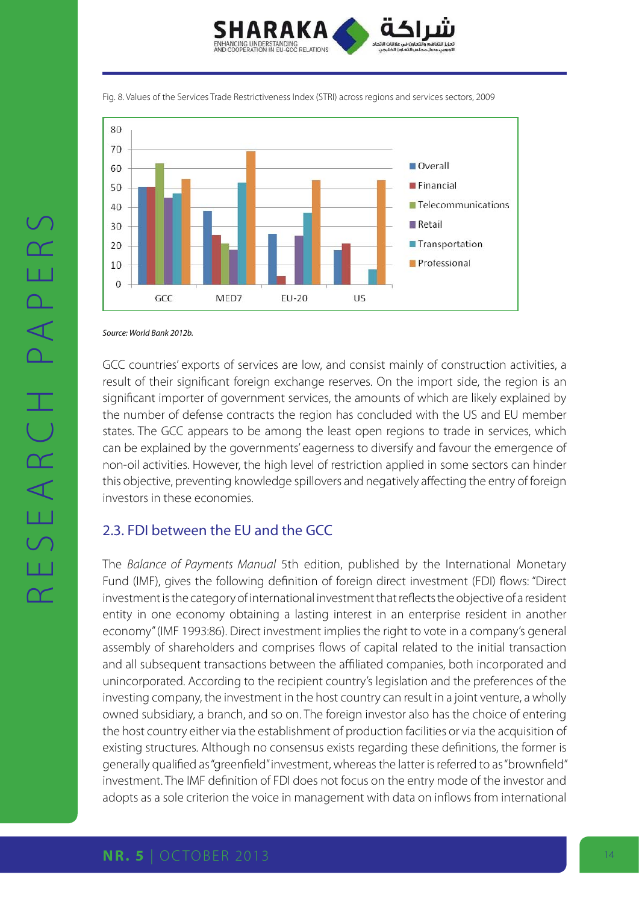

Fig. 8. Values of the Services Trade Restrictiveness Index (STRI) across regions and services sectors, 2009



*Source: World Bank 2012b.*

GCC countries' exports of services are low, and consist mainly of construction activities, a result of their significant foreign exchange reserves. On the import side, the region is an significant importer of government services, the amounts of which are likely explained by the number of defense contracts the region has concluded with the US and EU member states. The GCC appears to be among the least open regions to trade in services, which can be explained by the governments' eagerness to diversify and favour the emergence of non-oil activities. However, the high level of restriction applied in some sectors can hinder this objective, preventing knowledge spillovers and negatively affecting the entry of foreign investors in these economies.

### 2.3. FDI between the EU and the GCC

The *Balance of Payments Manual* 5th edition, published by the International Monetary Fund (IMF), gives the following definition of foreign direct investment (FDI) flows: "Direct investment is the category of international investment that reflects the objective of a resident entity in one economy obtaining a lasting interest in an enterprise resident in another economy" (IMF 1993:86). Direct investment implies the right to vote in a company's general assembly of shareholders and comprises flows of capital related to the initial transaction and all subsequent transactions between the affiliated companies, both incorporated and unincorporated. According to the recipient country's legislation and the preferences of the investing company, the investment in the host country can result in a joint venture, a wholly owned subsidiary, a branch, and so on. The foreign investor also has the choice of entering the host country either via the establishment of production facilities or via the acquisition of existing structures. Although no consensus exists regarding these definitions, the former is generally qualified as "greenfield" investment, whereas the latter is referred to as "brownfield" investment. The IMF definition of FDI does not focus on the entry mode of the investor and adopts as a sole criterion the voice in management with data on inflows from international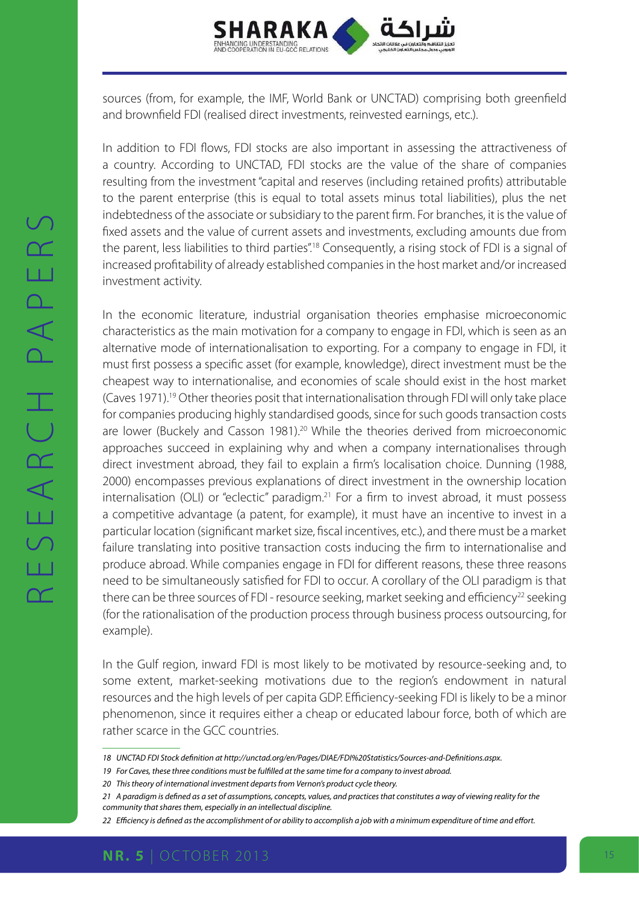

sources (from, for example, the IMF, World Bank or UNCTAD) comprising both greenfield and brownfield FDI (realised direct investments, reinvested earnings, etc.).

In addition to FDI flows, FDI stocks are also important in assessing the attractiveness of a country. According to UNCTAD, FDI stocks are the value of the share of companies resulting from the investment "capital and reserves (including retained profits) attributable to the parent enterprise (this is equal to total assets minus total liabilities), plus the net indebtedness of the associate or subsidiary to the parent firm. For branches, it is the value of fixed assets and the value of current assets and investments, excluding amounts due from the parent, less liabilities to third parties".<sup>18</sup> Consequently, a rising stock of FDI is a signal of increased profitability of already established companies in the host market and/or increased investment activity.

In the economic literature, industrial organisation theories emphasise microeconomic characteristics as the main motivation for a company to engage in FDI, which is seen as an alternative mode of internationalisation to exporting. For a company to engage in FDI, it must first possess a specific asset (for example, knowledge), direct investment must be the cheapest way to internationalise, and economies of scale should exist in the host market (Caves 1971).19 Other theories posit that internationalisation through FDI will only take place for companies producing highly standardised goods, since for such goods transaction costs are lower (Buckely and Casson 1981).<sup>20</sup> While the theories derived from microeconomic approaches succeed in explaining why and when a company internationalises through direct investment abroad, they fail to explain a firm's localisation choice. Dunning (1988, 2000) encompasses previous explanations of direct investment in the ownership location internalisation (OLI) or "eclectic" paradigm.<sup>21</sup> For a firm to invest abroad, it must possess a competitive advantage (a patent, for example), it must have an incentive to invest in a particular location (significant market size, fiscal incentives, etc.), and there must be a market failure translating into positive transaction costs inducing the firm to internationalise and produce abroad. While companies engage in FDI for different reasons, these three reasons need to be simultaneously satisfied for FDI to occur. A corollary of the OLI paradigm is that there can be three sources of FDI - resource seeking, market seeking and efficiency<sup>22</sup> seeking (for the rationalisation of the production process through business process outsourcing, for example).

In the Gulf region, inward FDI is most likely to be motivated by resource-seeking and, to some extent, market-seeking motivations due to the region's endowment in natural resources and the high levels of per capita GDP. Efficiency-seeking FDI is likely to be a minor phenomenon, since it requires either a cheap or educated labour force, both of which are rather scarce in the GCC countries.

*<sup>18</sup> UNCTAD FDI Stock definition at http://unctad.org/en/Pages/DIAE/FDI%20Statistics/Sources-and-Definitions.aspx.*

*<sup>19</sup> For Caves, these three conditions must be fulfilled at the same time for a company to invest abroad.*

*<sup>20</sup> This theory of international investment departs from Vernon's product cycle theory.*

*<sup>21</sup> A paradigm is defined as a set of assumptions, concepts, values, and practices that constitutes a way of viewing reality for the community that shares them, especially in an intellectual discipline.*

*<sup>22</sup> Efficiency is defined as the accomplishment of or ability to accomplish a job with a minimum expenditure of time and effort.*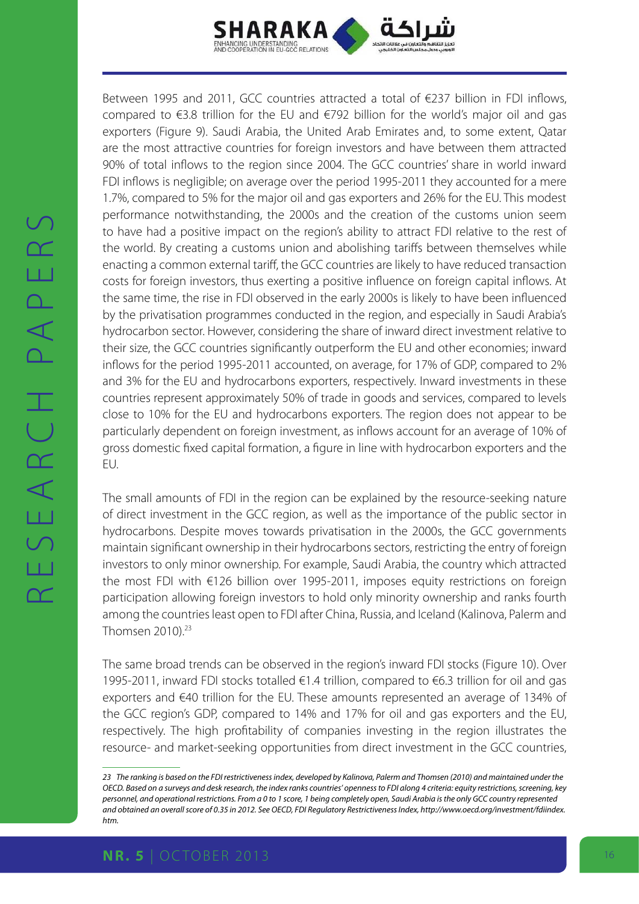

Between 1995 and 2011, GCC countries attracted a total of €237 billion in FDI inflows, compared to €3.8 trillion for the EU and €792 billion for the world's major oil and gas exporters (Figure 9). Saudi Arabia, the United Arab Emirates and, to some extent, Qatar are the most attractive countries for foreign investors and have between them attracted 90% of total inflows to the region since 2004. The GCC countries' share in world inward FDI inflows is negligible; on average over the period 1995-2011 they accounted for a mere 1.7%, compared to 5% for the major oil and gas exporters and 26% for the EU. This modest performance notwithstanding, the 2000s and the creation of the customs union seem to have had a positive impact on the region's ability to attract FDI relative to the rest of the world. By creating a customs union and abolishing tariffs between themselves while enacting a common external tariff, the GCC countries are likely to have reduced transaction costs for foreign investors, thus exerting a positive influence on foreign capital inflows. At the same time, the rise in FDI observed in the early 2000s is likely to have been influenced by the privatisation programmes conducted in the region, and especially in Saudi Arabia's hydrocarbon sector. However, considering the share of inward direct investment relative to their size, the GCC countries significantly outperform the EU and other economies; inward inflows for the period 1995-2011 accounted, on average, for 17% of GDP, compared to 2% and 3% for the EU and hydrocarbons exporters, respectively. Inward investments in these countries represent approximately 50% of trade in goods and services, compared to levels close to 10% for the EU and hydrocarbons exporters. The region does not appear to be particularly dependent on foreign investment, as inflows account for an average of 10% of gross domestic fixed capital formation, a figure in line with hydrocarbon exporters and the EU.

The small amounts of FDI in the region can be explained by the resource-seeking nature of direct investment in the GCC region, as well as the importance of the public sector in hydrocarbons. Despite moves towards privatisation in the 2000s, the GCC governments maintain significant ownership in their hydrocarbons sectors, restricting the entry of foreign investors to only minor ownership. For example, Saudi Arabia, the country which attracted the most FDI with €126 billion over 1995-2011, imposes equity restrictions on foreign participation allowing foreign investors to hold only minority ownership and ranks fourth among the countries least open to FDI after China, Russia, and Iceland (Kalinova, Palerm and Thomsen 2010).<sup>23</sup>

The same broad trends can be observed in the region's inward FDI stocks (Figure 10). Over 1995-2011, inward FDI stocks totalled €1.4 trillion, compared to €6.3 trillion for oil and gas exporters and €40 trillion for the EU. These amounts represented an average of 134% of the GCC region's GDP, compared to 14% and 17% for oil and gas exporters and the EU, respectively. The high profitability of companies investing in the region illustrates the resource- and market-seeking opportunities from direct investment in the GCC countries,

*<sup>23</sup> The ranking is based on the FDI restrictiveness index, developed by Kalinova, Palerm and Thomsen (2010) and maintained under the OECD. Based on a surveys and desk research, the index ranks countries' openness to FDI along 4 criteria: equity restrictions, screening, key personnel, and operational restrictions. From a 0 to 1 score, 1 being completely open, Saudi Arabia is the only GCC country represented and obtained an overall score of 0.35 in 2012. See OECD, FDI Regulatory Restrictiveness Index, [http://www.oecd.org/investment/fdiindex.](http://www.oecd.org/investment/fdiindex.htm.) [htm.](http://www.oecd.org/investment/fdiindex.htm.)*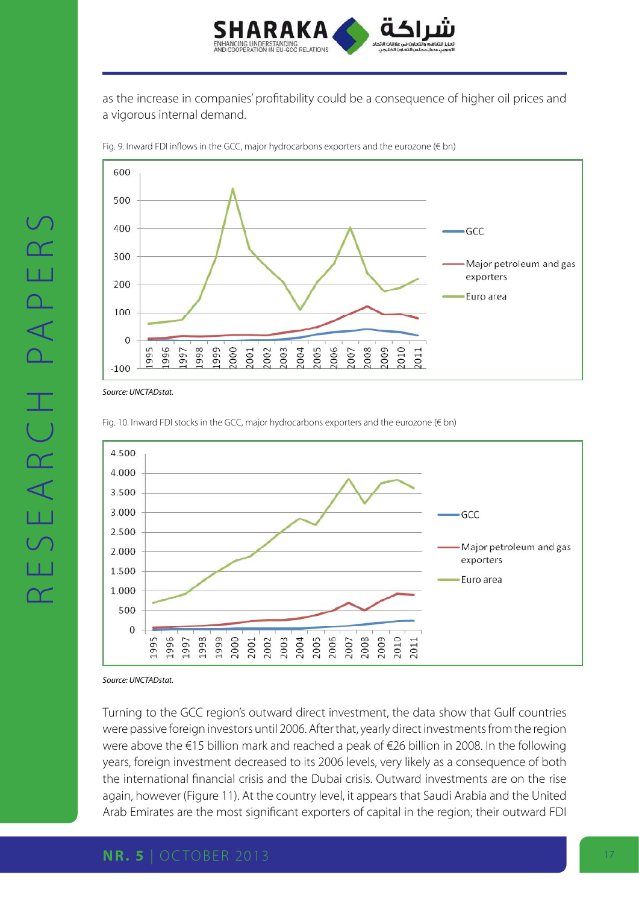

as the increase in companies' profitability could be a consequence of higher oil prices and a vigorous internal demand.



Fig. 9. Inward FDI inflows in the GCC, major hydrocarbons exporters and the eurozone (€ bn)

*Source: UNCTADstat.*

Fig. 10. Inward FDI stocks in the GCC, major hydrocarbons exporters and the eurozone (€ bn)



*Source: UNCTADstat.*

Turning to the GCC region's outward direct investment, the data show that Gulf countries were passive foreign investors until 2006. After that, yearly direct investments from the region were above the €15 billion mark and reached a peak of €26 billion in 2008. In the following years, foreign investment decreased to its 2006 levels, very likely as a consequence of both the international financial crisis and the Dubai crisis. Outward investments are on the rise again, however (Figure 11). At the country level, it appears that Saudi Arabia and the United Arab Emirates are the most significant exporters of capital in the region; their outward FDI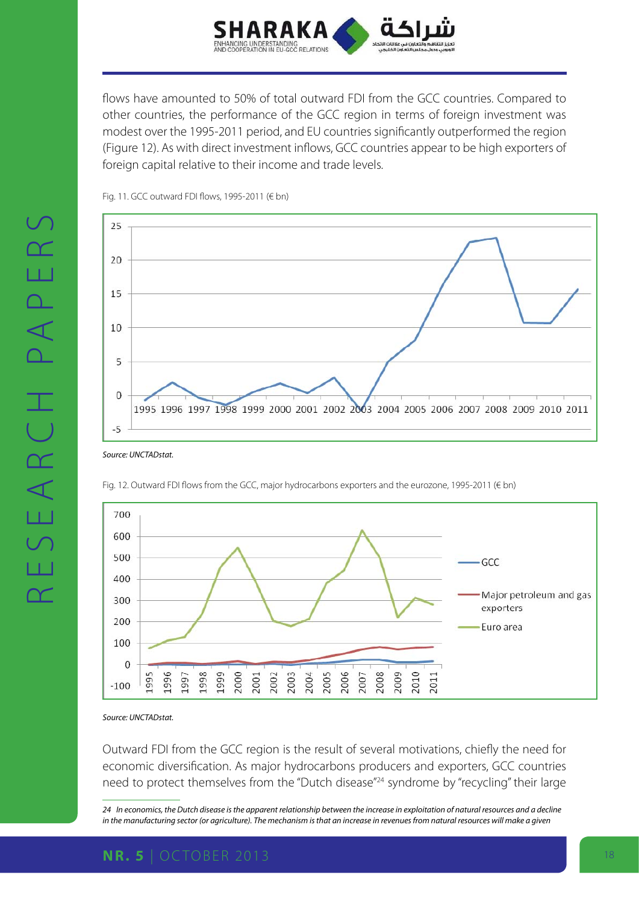

flows have amounted to 50% of total outward FDI from the GCC countries. Compared to other countries, the performance of the GCC region in terms of foreign investment was modest over the 1995-2011 period, and EU countries significantly outperformed the region (Figure 12). As with direct investment inflows, GCC countries appear to be high exporters of foreign capital relative to their income and trade levels.



Fig. 11. GCC outward FDI flows, 1995-2011 (€ bn)

*Source: UNCTADstat.*





*Source: UNCTADstat.*

Outward FDI from the GCC region is the result of several motivations, chiefly the need for economic diversification. As major hydrocarbons producers and exporters, GCC countries need to protect themselves from the "Dutch disease"<sup>24</sup> syndrome by "recycling" their large

*24 In economics, the Dutch disease is the apparent relationship between the increase in exploitation of natural resources and a decline*  in the manufacturing sector (or agriculture). The mechanism is that an increase in revenues from natural resources will make a given

### **NR. 5** | OCTOBER 2013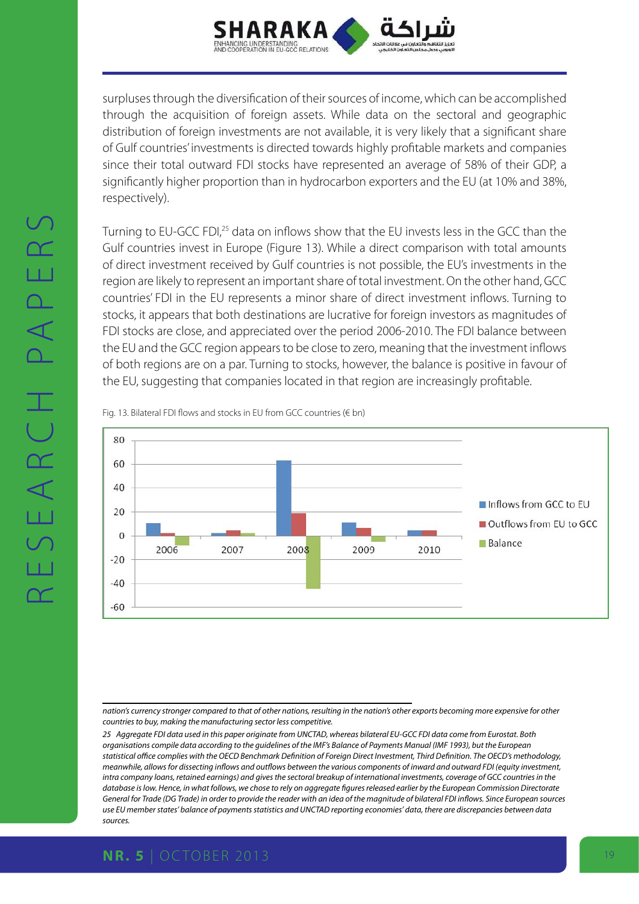

surpluses through the diversification of their sources of income, which can be accomplished through the acquisition of foreign assets. While data on the sectoral and geographic distribution of foreign investments are not available, it is very likely that a significant share of Gulf countries' investments is directed towards highly profitable markets and companies since their total outward FDI stocks have represented an average of 58% of their GDP, a significantly higher proportion than in hydrocarbon exporters and the EU (at 10% and 38%, respectively).

Turning to EU-GCC FDI,25 data on inflows show that the EU invests less in the GCC than the Gulf countries invest in Europe (Figure 13). While a direct comparison with total amounts of direct investment received by Gulf countries is not possible, the EU's investments in the region are likely to represent an important share of total investment. On the other hand, GCC countries' FDI in the EU represents a minor share of direct investment inflows. Turning to stocks, it appears that both destinations are lucrative for foreign investors as magnitudes of FDI stocks are close, and appreciated over the period 2006-2010. The FDI balance between the EU and the GCC region appears to be close to zero, meaning that the investment inflows of both regions are on a par. Turning to stocks, however, the balance is positive in favour of the EU, suggesting that companies located in that region are increasingly profitable.

Fig. 13. Bilateral FDI flows and stocks in EU from GCC countries (€ bn)



*nation's currency stronger compared to that of other nations, resulting in the nation's other exports becoming more expensive for other countries to buy, making the manufacturing sector less competitive.*

*25 Aggregate FDI data used in this paper originate from UNCTAD, whereas bilateral EU-GCC FDI data come from Eurostat. Both organisations compile data according to the guidelines of the IMF's Balance of Payments Manual (IMF 1993), but the European statistical office complies with the OECD Benchmark Definition of Foreign Direct Investment, Third Definition. The OECD's methodology, meanwhile, allows for dissecting inflows and outflows between the various components of inward and outward FDI (equity investment, intra company loans, retained earnings) and gives the sectoral breakup of international investments, coverage of GCC countries in the database is low. Hence, in what follows, we chose to rely on aggregate figures released earlier by the European Commission Directorate General for Trade (DG Trade) in order to provide the reader with an idea of the magnitude of bilateral FDI inflows. Since European sources use EU member states' balance of payments statistics and UNCTAD reporting economies' data, there are discrepancies between data sources.*

# **NR. 5** | OCTOBER 2013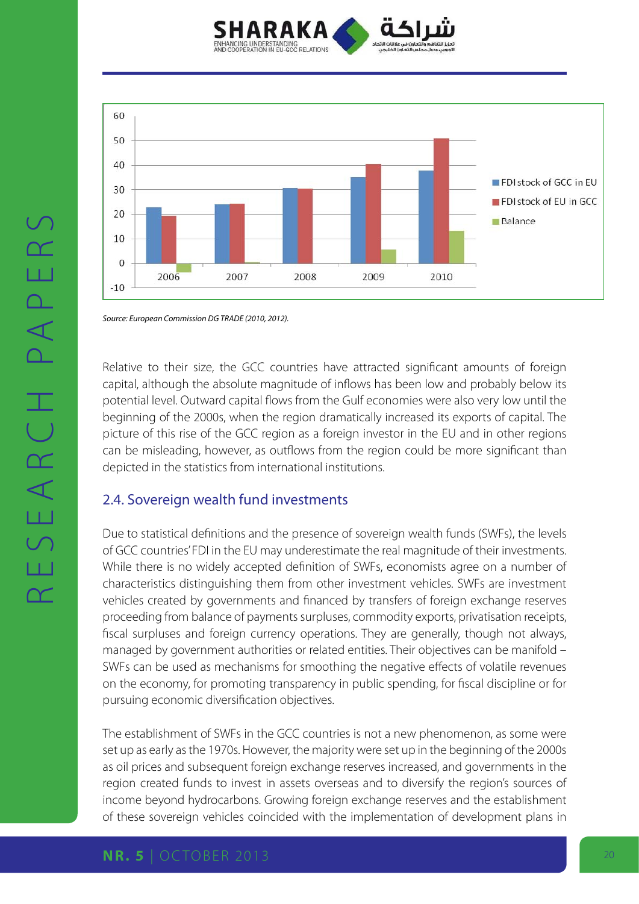



*Source: European Commission DG TRADE (2010, 2012).*

Relative to their size, the GCC countries have attracted significant amounts of foreign capital, although the absolute magnitude of inflows has been low and probably below its potential level. Outward capital flows from the Gulf economies were also very low until the beginning of the 2000s, when the region dramatically increased its exports of capital. The picture of this rise of the GCC region as a foreign investor in the EU and in other regions can be misleading, however, as outflows from the region could be more significant than depicted in the statistics from international institutions.

### 2.4. Sovereign wealth fund investments

Due to statistical definitions and the presence of sovereign wealth funds (SWFs), the levels of GCC countries' FDI in the EU may underestimate the real magnitude of their investments. While there is no widely accepted definition of SWFs, economists agree on a number of characteristics distinguishing them from other investment vehicles. SWFs are investment vehicles created by governments and financed by transfers of foreign exchange reserves proceeding from balance of payments surpluses, commodity exports, privatisation receipts, fiscal surpluses and foreign currency operations. They are generally, though not always, managed by government authorities or related entities. Their objectives can be manifold – SWFs can be used as mechanisms for smoothing the negative effects of volatile revenues on the economy, for promoting transparency in public spending, for fiscal discipline or for pursuing economic diversification objectives.

The establishment of SWFs in the GCC countries is not a new phenomenon, as some were set up as early as the 1970s. However, the majority were set up in the beginning of the 2000s as oil prices and subsequent foreign exchange reserves increased, and governments in the region created funds to invest in assets overseas and to diversify the region's sources of income beyond hydrocarbons. Growing foreign exchange reserves and the establishment of these sovereign vehicles coincided with the implementation of development plans in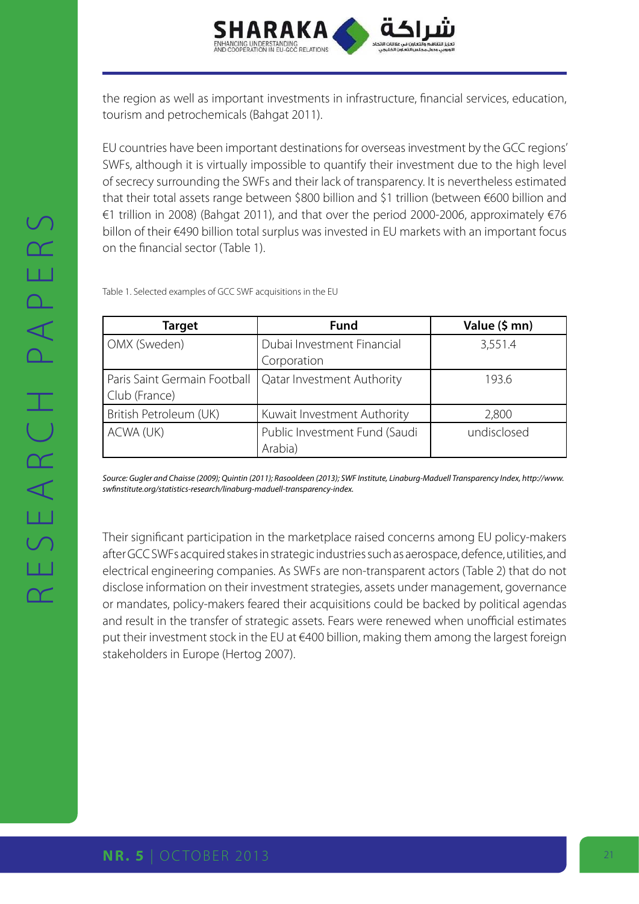

the region as well as important investments in infrastructure, financial services, education, tourism and petrochemicals (Bahgat 2011).

EU countries have been important destinations for overseas investment by the GCC regions' SWFs, although it is virtually impossible to quantify their investment due to the high level of secrecy surrounding the SWFs and their lack of transparency. It is nevertheless estimated that their total assets range between \$800 billion and \$1 trillion (between €600 billion and €1 trillion in 2008) (Bahgat 2011), and that over the period 2000-2006, approximately €76 billon of their €490 billion total surplus was invested in EU markets with an important focus on the financial sector (Table 1).

Table 1. Selected examples of GCC SWF acquisitions in the EU

| <b>Target</b>                | <b>Fund</b>                   | Value (\$ mn) |
|------------------------------|-------------------------------|---------------|
| OMX (Sweden)                 | Dubai Investment Financial    | 3,551.4       |
|                              | Corporation                   |               |
| Paris Saint Germain Football | Qatar Investment Authority    | 193.6         |
| Club (France)                |                               |               |
| British Petroleum (UK)       | Kuwait Investment Authority   | 2,800         |
| ACWA (UK)                    | Public Investment Fund (Saudi | undisclosed   |
|                              | Arabia)                       |               |

Source: Gugler and Chaisse (2009); Quintin (2011); Rasooldeen (2013); SWF Institute, Linaburg-Maduell Transparency Index, [http://www.](http://www.swfinstitute.org/statistics-research/linaburg-maduell-transparency-index.
) *[swfinstitute.org/statistics-research/linaburg-maduell-transparency-index.](http://www.swfinstitute.org/statistics-research/linaburg-maduell-transparency-index.
)*

Their significant participation in the marketplace raised concerns among EU policy-makers after GCC SWFs acquired stakes in strategic industries such as aerospace, defence, utilities, and electrical engineering companies. As SWFs are non-transparent actors (Table 2) that do not disclose information on their investment strategies, assets under management, governance or mandates, policy-makers feared their acquisitions could be backed by political agendas and result in the transfer of strategic assets. Fears were renewed when unofficial estimates put their investment stock in the EU at €400 billion, making them among the largest foreign stakeholders in Europe (Hertog 2007).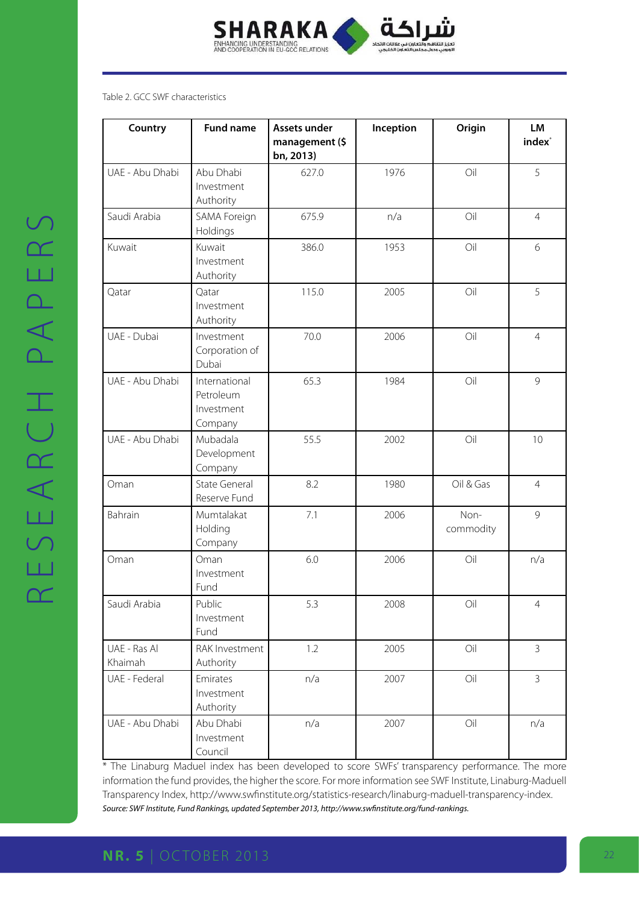

#### Table 2. GCC SWF characteristics

| Country                 | <b>Fund name</b>                                    | Assets under<br>management (\$<br>bn, 2013) | Inception | Origin            | LM<br>index <sup>*</sup> |
|-------------------------|-----------------------------------------------------|---------------------------------------------|-----------|-------------------|--------------------------|
| UAE - Abu Dhabi         | Abu Dhabi<br>Investment<br>Authority                | 627.0                                       | 1976      | Oil               | 5                        |
| Saudi Arabia            | SAMA Foreign<br>Holdings                            | 675.9                                       | n/a       | Oil               | $\overline{4}$           |
| Kuwait                  | Kuwait<br>Investment<br>Authority                   | 386.0                                       | 1953      | Oil               | 6                        |
| Qatar                   | Qatar<br>Investment<br>Authority                    | 115.0                                       | 2005      | Oil               | 5                        |
| UAE - Dubai             | Investment<br>Corporation of<br>Dubai               | 70.0                                        | 2006      | Oil               | $\overline{4}$           |
| UAE - Abu Dhabi         | International<br>Petroleum<br>Investment<br>Company | 65.3                                        | 1984      | Oil               | 9                        |
| UAE - Abu Dhabi         | Mubadala<br>Development<br>Company                  | 55.5                                        | 2002      | Oil               | 10                       |
| Oman                    | <b>State General</b><br>Reserve Fund                | 8.2                                         | 1980      | Oil & Gas         | $\overline{4}$           |
| Bahrain                 | Mumtalakat<br>Holding<br>Company                    | 7.1                                         | 2006      | Non-<br>commodity | 9                        |
| Oman                    | Oman<br>Investment<br>Fund                          | 6.0                                         | 2006      | Oil               | n/a                      |
| Saudi Arabia            | Public<br>Investment<br>Fund                        | 5.3                                         | 2008      | Oil               | 4                        |
| UAE - Ras Al<br>Khaimah | RAK Investment<br>Authority                         | 1.2                                         | 2005      | Oil               | $\overline{3}$           |
| UAE - Federal           | Emirates<br>Investment<br>Authority                 | n/a                                         | 2007      | Oil               | $\overline{3}$           |
| UAE - Abu Dhabi         | Abu Dhabi<br>Investment<br>Council                  | n/a                                         | 2007      | Oil               | n/a                      |

\* The Linaburg Maduel index has been developed to score SWFs' transparency performance. The more information the fund provides, the higher the score. For more information see SWF Institute, Linaburg-Maduell Transparency Index, [http://www.swfinstitute.org/statistics-research/linaburg-maduell-transparency-index.](http://www.swfinstitute.org/statistics-research/linaburg-maduell-transparency-index.
) *Source: SWF Institute, Fund Rankings, updated September 2013, http://www.swfinstitute.org/fund-rankings.*

# **NR. 5** | OCTOBER 2013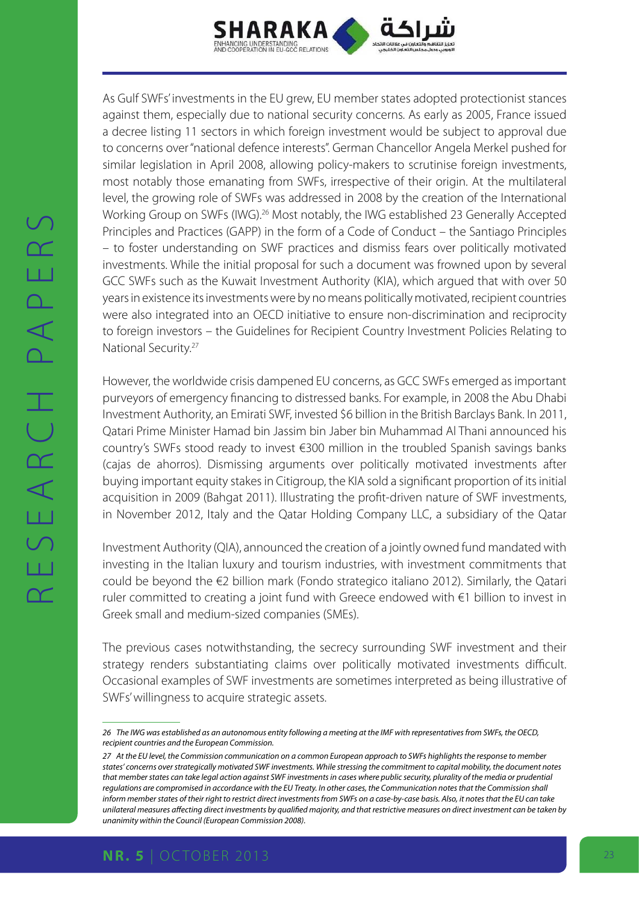

As Gulf SWFs' investments in the EU grew, EU member states adopted protectionist stances against them, especially due to national security concerns. As early as 2005, France issued a decree listing 11 sectors in which foreign investment would be subject to approval due to concerns over "national defence interests". German Chancellor Angela Merkel pushed for similar legislation in April 2008, allowing policy-makers to scrutinise foreign investments, most notably those emanating from SWFs, irrespective of their origin. At the multilateral level, the growing role of SWFs was addressed in 2008 by the creation of the International Working Group on SWFs (IWG).<sup>26</sup> Most notably, the IWG established 23 Generally Accepted Principles and Practices (GAPP) in the form of a Code of Conduct – the Santiago Principles – to foster understanding on SWF practices and dismiss fears over politically motivated investments. While the initial proposal for such a document was frowned upon by several GCC SWFs such as the Kuwait Investment Authority (KIA), which argued that with over 50 years in existence its investments were by no means politically motivated, recipient countries were also integrated into an OECD initiative to ensure non-discrimination and reciprocity to foreign investors – the Guidelines for Recipient Country Investment Policies Relating to National Security.27

However, the worldwide crisis dampened EU concerns, as GCC SWFs emerged as important purveyors of emergency financing to distressed banks. For example, in 2008 the Abu Dhabi Investment Authority, an Emirati SWF, invested \$6 billion in the British Barclays Bank. In 2011, Qatari Prime Minister Hamad bin Jassim bin Jaber bin Muhammad Al Thani announced his country's SWFs stood ready to invest €300 million in the troubled Spanish savings banks (cajas de ahorros). Dismissing arguments over politically motivated investments after buying important equity stakes in Citigroup, the KIA sold a significant proportion of its initial acquisition in 2009 (Bahgat 2011). Illustrating the profit-driven nature of SWF investments, in November 2012, Italy and the Qatar Holding Company LLC, a subsidiary of the Qatar

Investment Authority (QIA), announced the creation of a jointly owned fund mandated with investing in the Italian luxury and tourism industries, with investment commitments that could be beyond the €2 billion mark (Fondo strategico italiano 2012). Similarly, the Qatari ruler committed to creating a joint fund with Greece endowed with €1 billion to invest in Greek small and medium-sized companies (SMEs).

The previous cases notwithstanding, the secrecy surrounding SWF investment and their strategy renders substantiating claims over politically motivated investments difficult. Occasional examples of SWF investments are sometimes interpreted as being illustrative of SWFs' willingness to acquire strategic assets.

*<sup>26</sup> The IWG was established as an autonomous entity following a meeting at the IMF with representatives from SWFs, the OECD, recipient countries and the European Commission.*

*<sup>27</sup> At the EU level, the Commission communication on a common European approach to SWFs highlights the response to member states' concerns over strategically motivated SWF investments. While stressing the commitment to capital mobility, the document notes that member states can take legal action against SWF investments in cases where public security, plurality of the media or prudential regulations are compromised in accordance with the EU Treaty. In other cases, the Communication notes that the Commission shall inform member states of their right to restrict direct investments from SWFs on a case-by-case basis. Also, it notes that the EU can take unilateral measures affecting direct investments by qualified majority, and that restrictive measures on direct investment can be taken by unanimity within the Council (European Commission 2008).*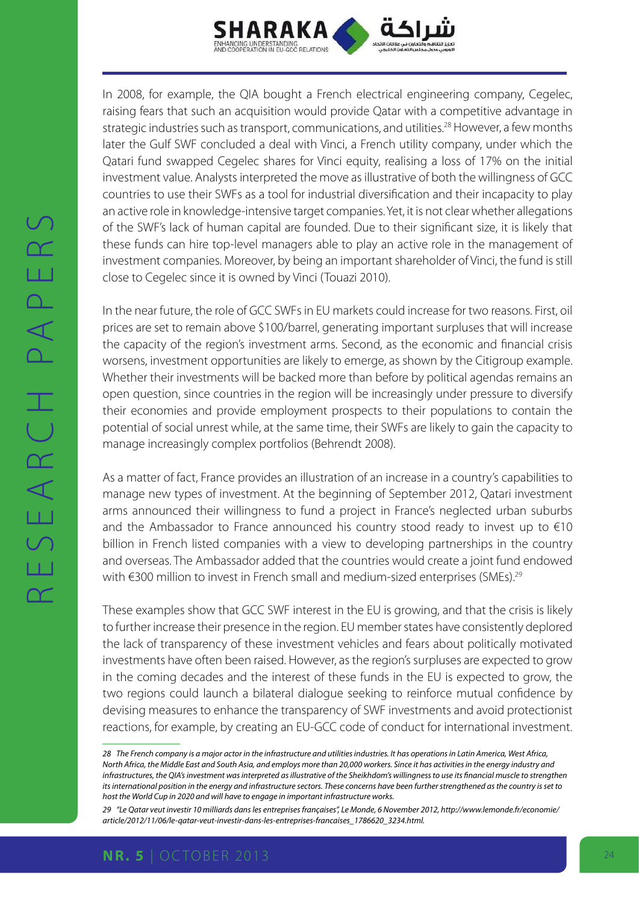

In 2008, for example, the QIA bought a French electrical engineering company, Cegelec, raising fears that such an acquisition would provide Qatar with a competitive advantage in strategic industries such as transport, communications, and utilities.<sup>28</sup> However, a few months later the Gulf SWF concluded a deal with Vinci, a French utility company, under which the Qatari fund swapped Cegelec shares for Vinci equity, realising a loss of 17% on the initial investment value. Analysts interpreted the move as illustrative of both the willingness of GCC countries to use their SWFs as a tool for industrial diversification and their incapacity to play an active role in knowledge-intensive target companies. Yet, it is not clear whether allegations of the SWF's lack of human capital are founded. Due to their significant size, it is likely that these funds can hire top-level managers able to play an active role in the management of investment companies. Moreover, by being an important shareholder of Vinci, the fund is still close to Cegelec since it is owned by Vinci (Touazi 2010).

In the near future, the role of GCC SWFs in EU markets could increase for two reasons. First, oil prices are set to remain above \$100/barrel, generating important surpluses that will increase the capacity of the region's investment arms. Second, as the economic and financial crisis worsens, investment opportunities are likely to emerge, as shown by the Citigroup example. Whether their investments will be backed more than before by political agendas remains an open question, since countries in the region will be increasingly under pressure to diversify their economies and provide employment prospects to their populations to contain the potential of social unrest while, at the same time, their SWFs are likely to gain the capacity to manage increasingly complex portfolios (Behrendt 2008).

As a matter of fact, France provides an illustration of an increase in a country's capabilities to manage new types of investment. At the beginning of September 2012, Qatari investment arms announced their willingness to fund a project in France's neglected urban suburbs and the Ambassador to France announced his country stood ready to invest up to  $\epsilon$ 10 billion in French listed companies with a view to developing partnerships in the country and overseas. The Ambassador added that the countries would create a joint fund endowed with €300 million to invest in French small and medium-sized enterprises (SMEs).<sup>29</sup>

These examples show that GCC SWF interest in the EU is growing, and that the crisis is likely to further increase their presence in the region. EU member states have consistently deplored the lack of transparency of these investment vehicles and fears about politically motivated investments have often been raised. However, as the region's surpluses are expected to grow in the coming decades and the interest of these funds in the EU is expected to grow, the two regions could launch a bilateral dialogue seeking to reinforce mutual confidence by devising measures to enhance the transparency of SWF investments and avoid protectionist reactions, for example, by creating an EU-GCC code of conduct for international investment.

*<sup>28</sup> The French company is a major actor in the infrastructure and utilities industries. It has operations in Latin America, West Africa, North Africa, the Middle East and South Asia, and employs more than 20,000 workers. Since it has activities in the energy industry and*  infrastructures, the QIA's investment was interpreted as illustrative of the Sheikhdom's willingness to use its financial muscle to strengthen *its international position in the energy and infrastructure sectors. These concerns have been further strengthened as the country is set to host the World Cup in 2020 and will have to engage in important infrastructure works.*

*<sup>29</sup> "Le Qatar veut investir 10 milliards dans les entreprises françaises", Le Monde, 6 November 2012, [http://www.lemonde.fr/economie/](http://www.lemonde.fr/economie/article/2012/11/06/le-qatar-veut-investir-dans-les-entreprises-francaises_1786620_3234.html.) [article/2012/11/06/le-qatar-veut-investir-dans-les-entreprises-francaises\\_1786620\\_3234.html.](http://www.lemonde.fr/economie/article/2012/11/06/le-qatar-veut-investir-dans-les-entreprises-francaises_1786620_3234.html.)*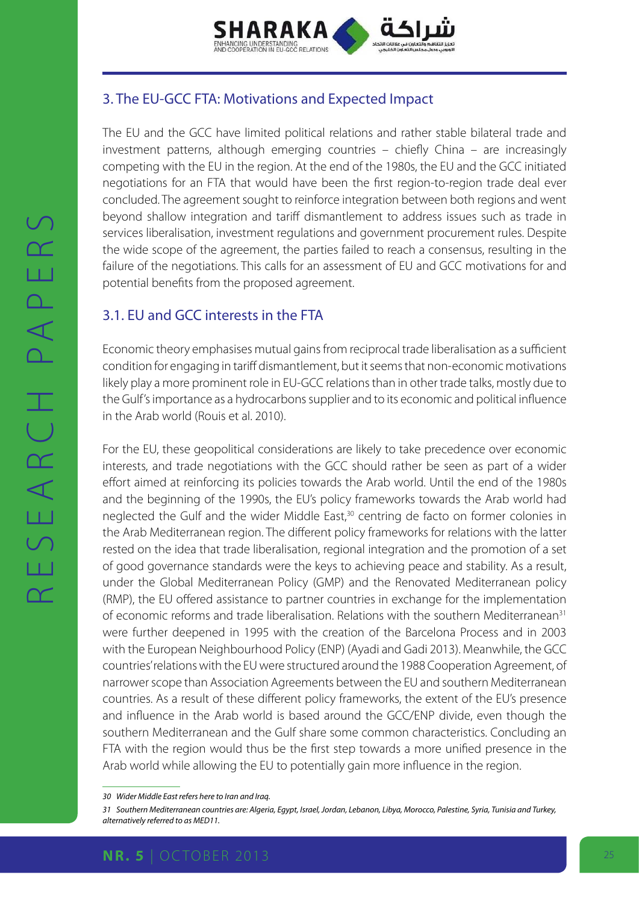

# 3. The EU-GCC FTA: Motivations and Expected Impact

The EU and the GCC have limited political relations and rather stable bilateral trade and investment patterns, although emerging countries – chiefly China – are increasingly competing with the EU in the region. At the end of the 1980s, the EU and the GCC initiated negotiations for an FTA that would have been the first region-to-region trade deal ever concluded. The agreement sought to reinforce integration between both regions and went beyond shallow integration and tariff dismantlement to address issues such as trade in services liberalisation, investment regulations and government procurement rules. Despite the wide scope of the agreement, the parties failed to reach a consensus, resulting in the failure of the negotiations. This calls for an assessment of EU and GCC motivations for and potential benefits from the proposed agreement.

# 3.1. EU and GCC interests in the FTA

Economic theory emphasises mutual gains from reciprocal trade liberalisation as a sufficient condition for engaging in tariff dismantlement, but it seems that non-economic motivations likely play a more prominent role in EU-GCC relations than in other trade talks, mostly due to the Gulf's importance as a hydrocarbons supplier and to its economic and political influence in the Arab world (Rouis et al. 2010).

For the EU, these geopolitical considerations are likely to take precedence over economic interests, and trade negotiations with the GCC should rather be seen as part of a wider effort aimed at reinforcing its policies towards the Arab world. Until the end of the 1980s and the beginning of the 1990s, the EU's policy frameworks towards the Arab world had neglected the Gulf and the wider Middle East,<sup>30</sup> centring de facto on former colonies in the Arab Mediterranean region. The different policy frameworks for relations with the latter rested on the idea that trade liberalisation, regional integration and the promotion of a set of good governance standards were the keys to achieving peace and stability. As a result, under the Global Mediterranean Policy (GMP) and the Renovated Mediterranean policy (RMP), the EU offered assistance to partner countries in exchange for the implementation of economic reforms and trade liberalisation. Relations with the southern Mediterranean<sup>31</sup> were further deepened in 1995 with the creation of the Barcelona Process and in 2003 with the European Neighbourhood Policy (ENP) (Ayadi and Gadi 2013). Meanwhile, the GCC countries' relations with the EU were structured around the 1988 Cooperation Agreement, of narrower scope than Association Agreements between the EU and southern Mediterranean countries. As a result of these different policy frameworks, the extent of the EU's presence and influence in the Arab world is based around the GCC/ENP divide, even though the southern Mediterranean and the Gulf share some common characteristics. Concluding an FTA with the region would thus be the first step towards a more unified presence in the Arab world while allowing the EU to potentially gain more influence in the region.

*<sup>30</sup> Wider Middle East refers here to Iran and Iraq.*

*<sup>31</sup> Southern Mediterranean countries are: Algeria, Egypt, Israel, Jordan, Lebanon, Libya, Morocco, Palestine, Syria, Tunisia and Turkey, alternatively referred to as MED11.*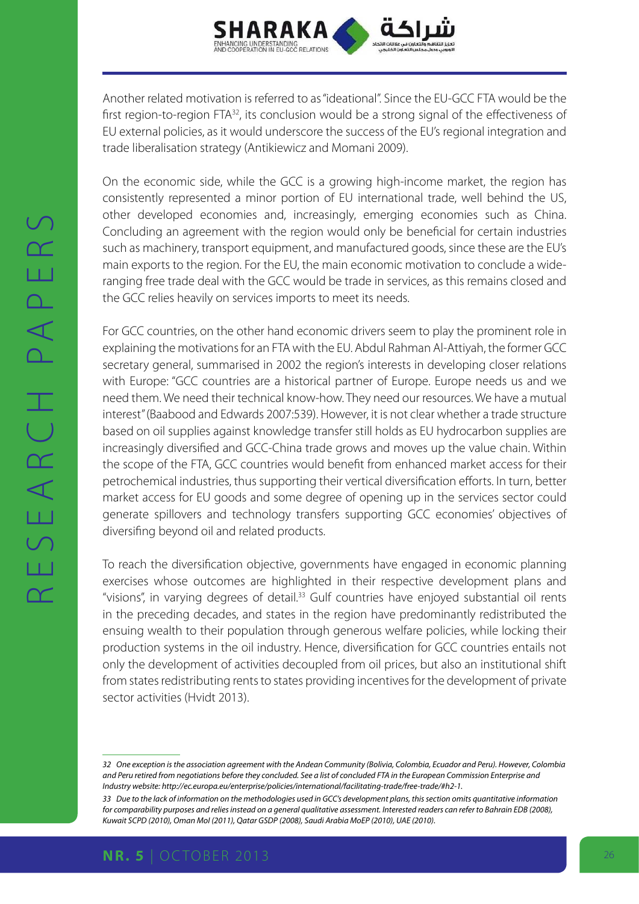

Another related motivation is referred to as "ideational". Since the EU-GCC FTA would be the first region-to-region FTA<sup>32</sup>, its conclusion would be a strong signal of the effectiveness of EU external policies, as it would underscore the success of the EU's regional integration and trade liberalisation strategy (Antikiewicz and Momani 2009).

On the economic side, while the GCC is a growing high-income market, the region has consistently represented a minor portion of EU international trade, well behind the US, other developed economies and, increasingly, emerging economies such as China. Concluding an agreement with the region would only be beneficial for certain industries such as machinery, transport equipment, and manufactured goods, since these are the EU's main exports to the region. For the EU, the main economic motivation to conclude a wideranging free trade deal with the GCC would be trade in services, as this remains closed and the GCC relies heavily on services imports to meet its needs.

For GCC countries, on the other hand economic drivers seem to play the prominent role in explaining the motivations for an FTA with the EU. Abdul Rahman Al-Attiyah, the former GCC secretary general, summarised in 2002 the region's interests in developing closer relations with Europe: "GCC countries are a historical partner of Europe. Europe needs us and we need them. We need their technical know-how. They need our resources. We have a mutual interest" (Baabood and Edwards 2007:539). However, it is not clear whether a trade structure based on oil supplies against knowledge transfer still holds as EU hydrocarbon supplies are increasingly diversified and GCC-China trade grows and moves up the value chain. Within the scope of the FTA, GCC countries would benefit from enhanced market access for their petrochemical industries, thus supporting their vertical diversification efforts. In turn, better market access for EU goods and some degree of opening up in the services sector could generate spillovers and technology transfers supporting GCC economies' objectives of diversifing beyond oil and related products.

To reach the diversification objective, governments have engaged in economic planning exercises whose outcomes are highlighted in their respective development plans and "visions", in varying degrees of detail.<sup>33</sup> Gulf countries have enjoyed substantial oil rents in the preceding decades, and states in the region have predominantly redistributed the ensuing wealth to their population through generous welfare policies, while locking their production systems in the oil industry. Hence, diversification for GCC countries entails not only the development of activities decoupled from oil prices, but also an institutional shift from states redistributing rents to states providing incentives for the development of private sector activities (Hvidt 2013).

*<sup>32</sup> One exception is the association agreement with the Andean Community (Bolivia, Colombia, Ecuador and Peru). However, Colombia and Peru retired from negotiations before they concluded. See a list of concluded FTA in the European Commission Enterprise and Industry website: <http://ec.europa.eu/enterprise/policies/international/facilitating-trade/free-trade/#h2-1.>*

*<sup>33</sup> Due to the lack of information on the methodologies used in GCC's development plans, this section omits quantitative information for comparability purposes and relies instead on a general qualitative assessment. Interested readers can refer to Bahrain EDB (2008), Kuwait SCPD (2010), Oman MoI (2011), Qatar GSDP (2008), Saudi Arabia MoEP (2010), UAE (2010).*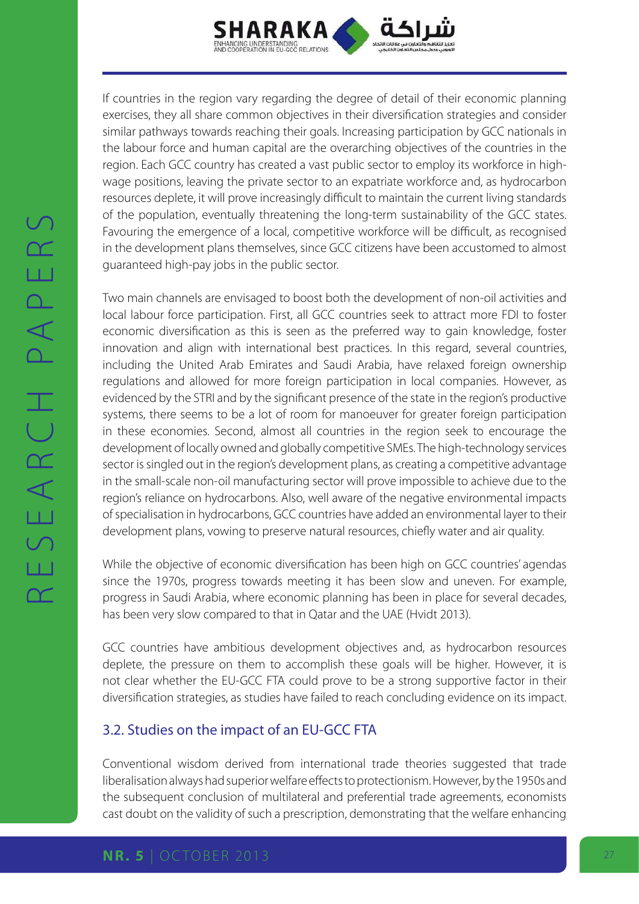

If countries in the region vary regarding the degree of detail of their economic planning exercises, they all share common objectives in their diversification strategies and consider similar pathways towards reaching their goals. Increasing participation by GCC nationals in the labour force and human capital are the overarching objectives of the countries in the region. Each GCC country has created a vast public sector to employ its workforce in highwage positions, leaving the private sector to an expatriate workforce and, as hydrocarbon resources deplete, it will prove increasingly difficult to maintain the current living standards of the population, eventually threatening the long-term sustainability of the GCC states. Favouring the emergence of a local, competitive workforce will be difficult, as recognised in the development plans themselves, since GCC citizens have been accustomed to almost guaranteed high-pay jobs in the public sector.

Two main channels are envisaged to boost both the development of non-oil activities and local labour force participation. First, all GCC countries seek to attract more FDI to foster economic diversification as this is seen as the preferred way to gain knowledge, foster innovation and align with international best practices. In this regard, several countries, including the United Arab Emirates and Saudi Arabia, have relaxed foreign ownership regulations and allowed for more foreign participation in local companies. However, as evidenced by the STRI and by the significant presence of the state in the region's productive systems, there seems to be a lot of room for manoeuver for greater foreign participation in these economies. Second, almost all countries in the region seek to encourage the development of locally owned and globally competitive SMEs. The high-technology services sector is singled out in the region's development plans, as creating a competitive advantage in the small-scale non-oil manufacturing sector will prove impossible to achieve due to the region's reliance on hydrocarbons. Also, well aware of the negative environmental impacts of specialisation in hydrocarbons, GCC countries have added an environmental layer to their development plans, vowing to preserve natural resources, chiefly water and air quality.

While the objective of economic diversification has been high on GCC countries' agendas since the 1970s, progress towards meeting it has been slow and uneven. For example, progress in Saudi Arabia, where economic planning has been in place for several decades, has been very slow compared to that in Qatar and the UAE (Hvidt 2013).

GCC countries have ambitious development objectives and, as hydrocarbon resources deplete, the pressure on them to accomplish these goals will be higher. However, it is not clear whether the EU-GCC FTA could prove to be a strong supportive factor in their diversification strategies, as studies have failed to reach concluding evidence on its impact.

# 3.2. Studies on the impact of an EU-GCC FTA

Conventional wisdom derived from international trade theories suggested that trade liberalisation always had superior welfare effects to protectionism. However, by the 1950s and the subsequent conclusion of multilateral and preferential trade agreements, economists cast doubt on the validity of such a prescription, demonstrating that the welfare enhancing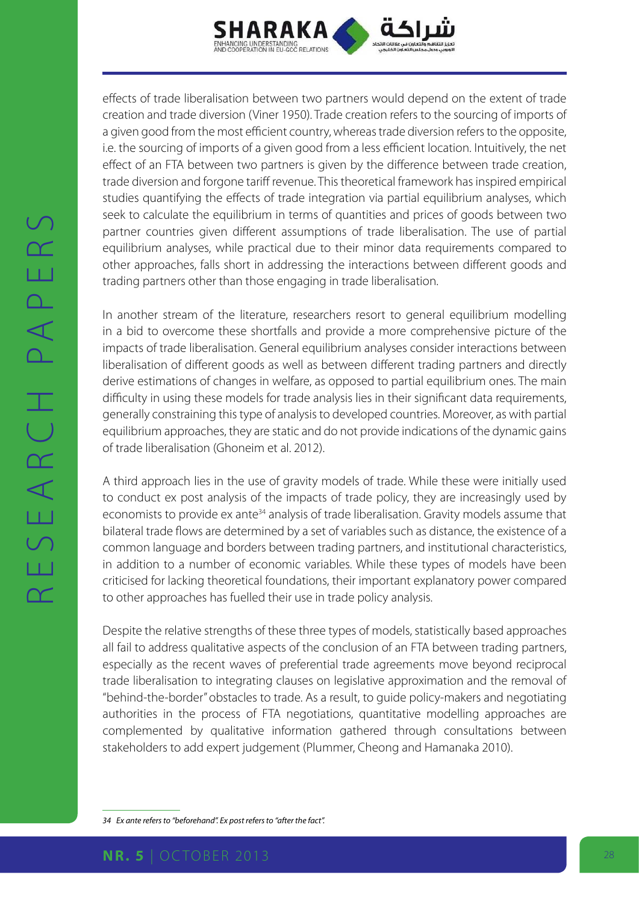

effects of trade liberalisation between two partners would depend on the extent of trade creation and trade diversion (Viner 1950). Trade creation refers to the sourcing of imports of a given good from the most efficient country, whereas trade diversion refers to the opposite, i.e. the sourcing of imports of a given good from a less efficient location. Intuitively, the net effect of an FTA between two partners is given by the difference between trade creation, trade diversion and forgone tariff revenue. This theoretical framework has inspired empirical studies quantifying the effects of trade integration via partial equilibrium analyses, which seek to calculate the equilibrium in terms of quantities and prices of goods between two partner countries given different assumptions of trade liberalisation. The use of partial equilibrium analyses, while practical due to their minor data requirements compared to other approaches, falls short in addressing the interactions between different goods and trading partners other than those engaging in trade liberalisation.

In another stream of the literature, researchers resort to general equilibrium modelling in a bid to overcome these shortfalls and provide a more comprehensive picture of the impacts of trade liberalisation. General equilibrium analyses consider interactions between liberalisation of different goods as well as between different trading partners and directly derive estimations of changes in welfare, as opposed to partial equilibrium ones. The main difficulty in using these models for trade analysis lies in their significant data requirements, generally constraining this type of analysis to developed countries. Moreover, as with partial equilibrium approaches, they are static and do not provide indications of the dynamic gains of trade liberalisation (Ghoneim et al. 2012).

A third approach lies in the use of gravity models of trade. While these were initially used to conduct ex post analysis of the impacts of trade policy, they are increasingly used by economists to provide ex ante<sup>34</sup> analysis of trade liberalisation. Gravity models assume that bilateral trade flows are determined by a set of variables such as distance, the existence of a common language and borders between trading partners, and institutional characteristics, in addition to a number of economic variables. While these types of models have been criticised for lacking theoretical foundations, their important explanatory power compared to other approaches has fuelled their use in trade policy analysis.

Despite the relative strengths of these three types of models, statistically based approaches all fail to address qualitative aspects of the conclusion of an FTA between trading partners, especially as the recent waves of preferential trade agreements move beyond reciprocal trade liberalisation to integrating clauses on legislative approximation and the removal of "behind-the-border" obstacles to trade. As a result, to guide policy-makers and negotiating authorities in the process of FTA negotiations, quantitative modelling approaches are complemented by qualitative information gathered through consultations between stakeholders to add expert judgement (Plummer, Cheong and Hamanaka 2010).

*34 Ex ante refers to "beforehand". Ex post refers to "after the fact".*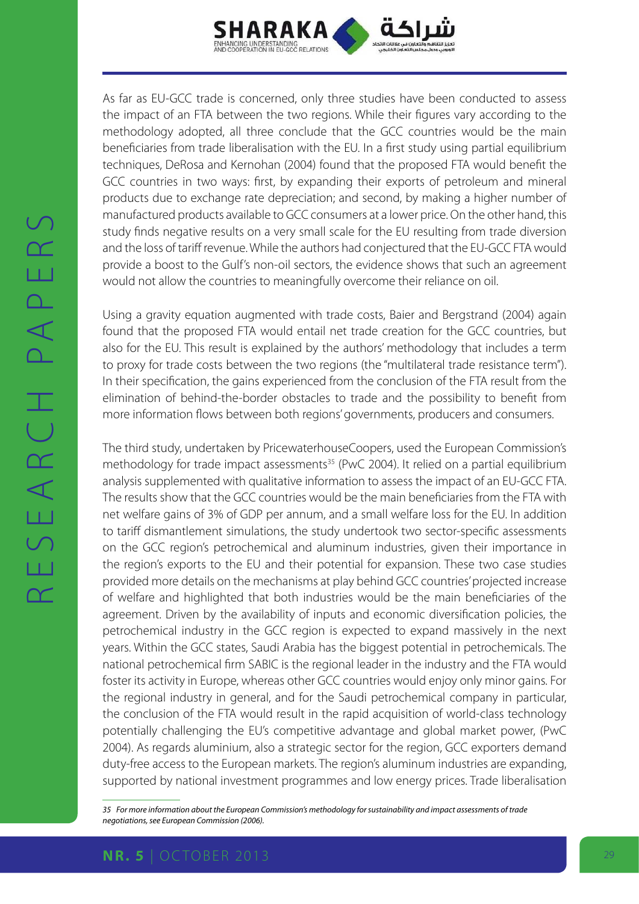

As far as EU-GCC trade is concerned, only three studies have been conducted to assess the impact of an FTA between the two regions. While their figures vary according to the methodology adopted, all three conclude that the GCC countries would be the main beneficiaries from trade liberalisation with the EU. In a first study using partial equilibrium techniques, DeRosa and Kernohan (2004) found that the proposed FTA would benefit the GCC countries in two ways: first, by expanding their exports of petroleum and mineral products due to exchange rate depreciation; and second, by making a higher number of manufactured products available to GCC consumers at a lower price. On the other hand, this study finds negative results on a very small scale for the EU resulting from trade diversion and the loss of tariff revenue. While the authors had conjectured that the EU-GCC FTA would provide a boost to the Gulf's non-oil sectors, the evidence shows that such an agreement would not allow the countries to meaningfully overcome their reliance on oil.

Using a gravity equation augmented with trade costs, Baier and Bergstrand (2004) again found that the proposed FTA would entail net trade creation for the GCC countries, but also for the EU. This result is explained by the authors' methodology that includes a term to proxy for trade costs between the two regions (the "multilateral trade resistance term"). In their specification, the gains experienced from the conclusion of the FTA result from the elimination of behind-the-border obstacles to trade and the possibility to benefit from more information flows between both regions' governments, producers and consumers.

The third study, undertaken by PricewaterhouseCoopers, used the European Commission's methodology for trade impact assessments<sup>35</sup> (PwC 2004). It relied on a partial equilibrium analysis supplemented with qualitative information to assess the impact of an EU-GCC FTA. The results show that the GCC countries would be the main beneficiaries from the FTA with net welfare gains of 3% of GDP per annum, and a small welfare loss for the EU. In addition to tariff dismantlement simulations, the study undertook two sector-specific assessments on the GCC region's petrochemical and aluminum industries, given their importance in the region's exports to the EU and their potential for expansion. These two case studies provided more details on the mechanisms at play behind GCC countries' projected increase of welfare and highlighted that both industries would be the main beneficiaries of the agreement. Driven by the availability of inputs and economic diversification policies, the petrochemical industry in the GCC region is expected to expand massively in the next years. Within the GCC states, Saudi Arabia has the biggest potential in petrochemicals. The national petrochemical firm SABIC is the regional leader in the industry and the FTA would foster its activity in Europe, whereas other GCC countries would enjoy only minor gains. For the regional industry in general, and for the Saudi petrochemical company in particular, the conclusion of the FTA would result in the rapid acquisition of world-class technology potentially challenging the EU's competitive advantage and global market power, (PwC 2004). As regards aluminium, also a strategic sector for the region, GCC exporters demand duty-free access to the European markets. The region's aluminum industries are expanding, supported by national investment programmes and low energy prices. Trade liberalisation

*<sup>35</sup> For more information about the European Commission's methodology for sustainability and impact assessments of trade negotiations, see European Commission (2006).*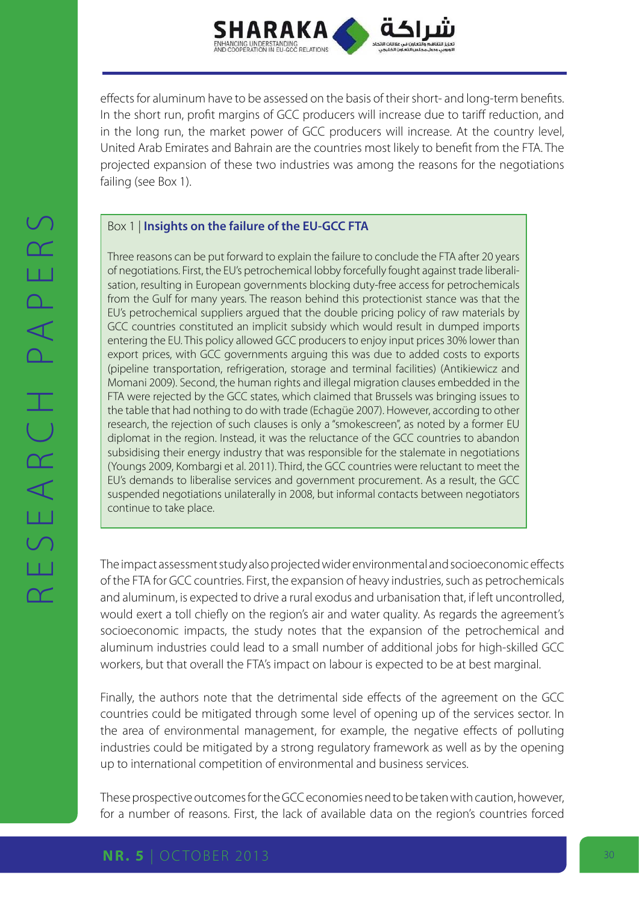

effects for aluminum have to be assessed on the basis of their short- and long-term benefits. In the short run, profit margins of GCC producers will increase due to tariff reduction, and in the long run, the market power of GCC producers will increase. At the country level, United Arab Emirates and Bahrain are the countries most likely to benefit from the FTA. The projected expansion of these two industries was among the reasons for the negotiations failing (see Box 1).

### Box 1 | **Insights on the failure of the EU-GCC FTA**

Three reasons can be put forward to explain the failure to conclude the FTA after 20 years of negotiations. First, the EU's petrochemical lobby forcefully fought against trade liberalisation, resulting in European governments blocking duty-free access for petrochemicals from the Gulf for many years. The reason behind this protectionist stance was that the EU's petrochemical suppliers argued that the double pricing policy of raw materials by GCC countries constituted an implicit subsidy which would result in dumped imports entering the EU. This policy allowed GCC producers to enjoy input prices 30% lower than export prices, with GCC governments arguing this was due to added costs to exports (pipeline transportation, refrigeration, storage and terminal facilities) (Antikiewicz and Momani 2009). Second, the human rights and illegal migration clauses embedded in the FTA were rejected by the GCC states, which claimed that Brussels was bringing issues to the table that had nothing to do with trade (Echagüe 2007). However, according to other research, the rejection of such clauses is only a "smokescreen", as noted by a former EU diplomat in the region. Instead, it was the reluctance of the GCC countries to abandon subsidising their energy industry that was responsible for the stalemate in negotiations (Youngs 2009, Kombargi et al. 2011). Third, the GCC countries were reluctant to meet the EU's demands to liberalise services and government procurement. As a result, the GCC suspended negotiations unilaterally in 2008, but informal contacts between negotiators continue to take place.

The impact assessment study also projected wider environmental and socioeconomic effects of the FTA for GCC countries. First, the expansion of heavy industries, such as petrochemicals and aluminum, is expected to drive a rural exodus and urbanisation that, if left uncontrolled, would exert a toll chiefly on the region's air and water quality. As regards the agreement's socioeconomic impacts, the study notes that the expansion of the petrochemical and aluminum industries could lead to a small number of additional jobs for high-skilled GCC workers, but that overall the FTA's impact on labour is expected to be at best marginal.

Finally, the authors note that the detrimental side effects of the agreement on the GCC countries could be mitigated through some level of opening up of the services sector. In the area of environmental management, for example, the negative effects of polluting industries could be mitigated by a strong regulatory framework as well as by the opening up to international competition of environmental and business services.

These prospective outcomes for the GCC economies need to be taken with caution, however, for a number of reasons. First, the lack of available data on the region's countries forced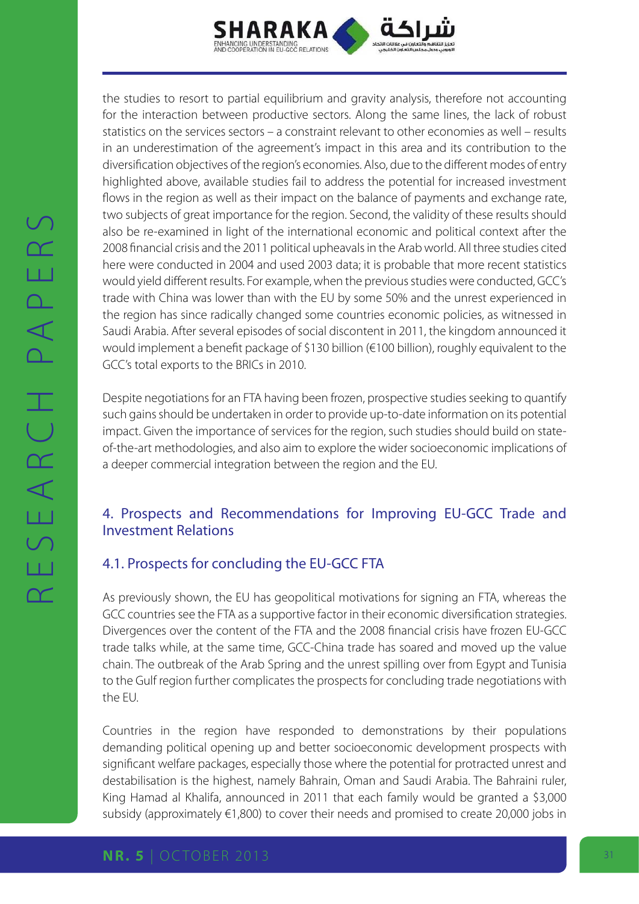

the studies to resort to partial equilibrium and gravity analysis, therefore not accounting for the interaction between productive sectors. Along the same lines, the lack of robust statistics on the services sectors – a constraint relevant to other economies as well – results in an underestimation of the agreement's impact in this area and its contribution to the diversification objectives of the region's economies. Also, due to the different modes of entry highlighted above, available studies fail to address the potential for increased investment flows in the region as well as their impact on the balance of payments and exchange rate, two subjects of great importance for the region. Second, the validity of these results should also be re-examined in light of the international economic and political context after the 2008 financial crisis and the 2011 political upheavals in the Arab world. All three studies cited here were conducted in 2004 and used 2003 data; it is probable that more recent statistics would yield different results. For example, when the previous studies were conducted, GCC's trade with China was lower than with the EU by some 50% and the unrest experienced in the region has since radically changed some countries economic policies, as witnessed in Saudi Arabia. After several episodes of social discontent in 2011, the kingdom announced it would implement a benefit package of \$130 billion (€100 billion), roughly equivalent to the GCC's total exports to the BRICs in 2010.

Despite negotiations for an FTA having been frozen, prospective studies seeking to quantify such gains should be undertaken in order to provide up-to-date information on its potential impact. Given the importance of services for the region, such studies should build on stateof-the-art methodologies, and also aim to explore the wider socioeconomic implications of a deeper commercial integration between the region and the EU.

# 4. Prospects and Recommendations for Improving EU-GCC Trade and Investment Relations

# 4.1. Prospects for concluding the EU-GCC FTA

As previously shown, the EU has geopolitical motivations for signing an FTA, whereas the GCC countries see the FTA as a supportive factor in their economic diversification strategies. Divergences over the content of the FTA and the 2008 financial crisis have frozen EU-GCC trade talks while, at the same time, GCC-China trade has soared and moved up the value chain. The outbreak of the Arab Spring and the unrest spilling over from Egypt and Tunisia to the Gulf region further complicates the prospects for concluding trade negotiations with the EU.

Countries in the region have responded to demonstrations by their populations demanding political opening up and better socioeconomic development prospects with significant welfare packages, especially those where the potential for protracted unrest and destabilisation is the highest, namely Bahrain, Oman and Saudi Arabia. The Bahraini ruler, King Hamad al Khalifa, announced in 2011 that each family would be granted a \$3,000 subsidy (approximately €1,800) to cover their needs and promised to create 20,000 jobs in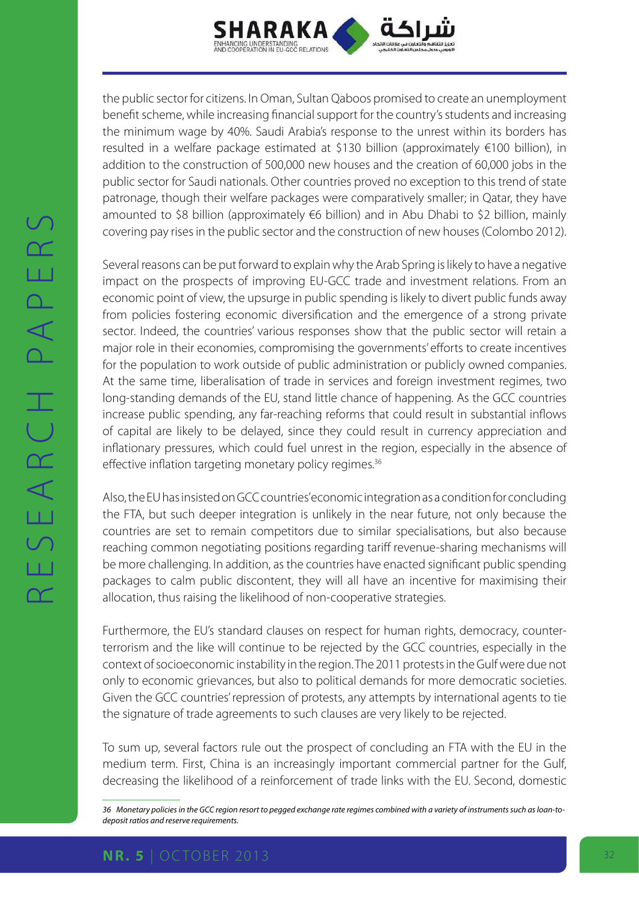

the public sector for citizens. In Oman, Sultan Qaboos promised to create an unemployment benefit scheme, while increasing financial support for the country's students and increasing the minimum wage by 40%. Saudi Arabia's response to the unrest within its borders has resulted in a welfare package estimated at \$130 billion (approximately €100 billion), in addition to the construction of 500,000 new houses and the creation of 60,000 jobs in the public sector for Saudi nationals. Other countries proved no exception to this trend of state patronage, though their welfare packages were comparatively smaller; in Qatar, they have amounted to \$8 billion (approximately  $\epsilon$ 6 billion) and in Abu Dhabi to \$2 billion, mainly covering pay rises in the public sector and the construction of new houses (Colombo 2012).

Several reasons can be put forward to explain why the Arab Spring is likely to have a negative impact on the prospects of improving EU-GCC trade and investment relations. From an economic point of view, the upsurge in public spending is likely to divert public funds away from policies fostering economic diversification and the emergence of a strong private sector. Indeed, the countries' various responses show that the public sector will retain a major role in their economies, compromising the governments' efforts to create incentives for the population to work outside of public administration or publicly owned companies. At the same time, liberalisation of trade in services and foreign investment regimes, two long-standing demands of the EU, stand little chance of happening. As the GCC countries increase public spending, any far-reaching reforms that could result in substantial inflows of capital are likely to be delayed, since they could result in currency appreciation and inflationary pressures, which could fuel unrest in the region, especially in the absence of effective inflation targeting monetary policy regimes.<sup>36</sup>

Also, the EU has insisted on GCC countries' economic integration as a condition for concluding the FTA, but such deeper integration is unlikely in the near future, not only because the countries are set to remain competitors due to similar specialisations, but also because reaching common negotiating positions regarding tariff revenue-sharing mechanisms will be more challenging. In addition, as the countries have enacted significant public spending packages to calm public discontent, they will all have an incentive for maximising their allocation, thus raising the likelihood of non-cooperative strategies.

Furthermore, the EU's standard clauses on respect for human rights, democracy, counterterrorism and the like will continue to be rejected by the GCC countries, especially in the context of socioeconomic instability in the region. The 2011 protests in the Gulf were due not only to economic grievances, but also to political demands for more democratic societies. Given the GCC countries' repression of protests, any attempts by international agents to tie the signature of trade agreements to such clauses are very likely to be rejected.

To sum up, several factors rule out the prospect of concluding an FTA with the EU in the medium term. First, China is an increasingly important commercial partner for the Gulf, decreasing the likelihood of a reinforcement of trade links with the EU. Second, domestic

*<sup>36</sup> Monetary policies in the GCC region resort to pegged exchange rate regimes combined with a variety of instruments such as loan-todeposit ratios and reserve requirements.*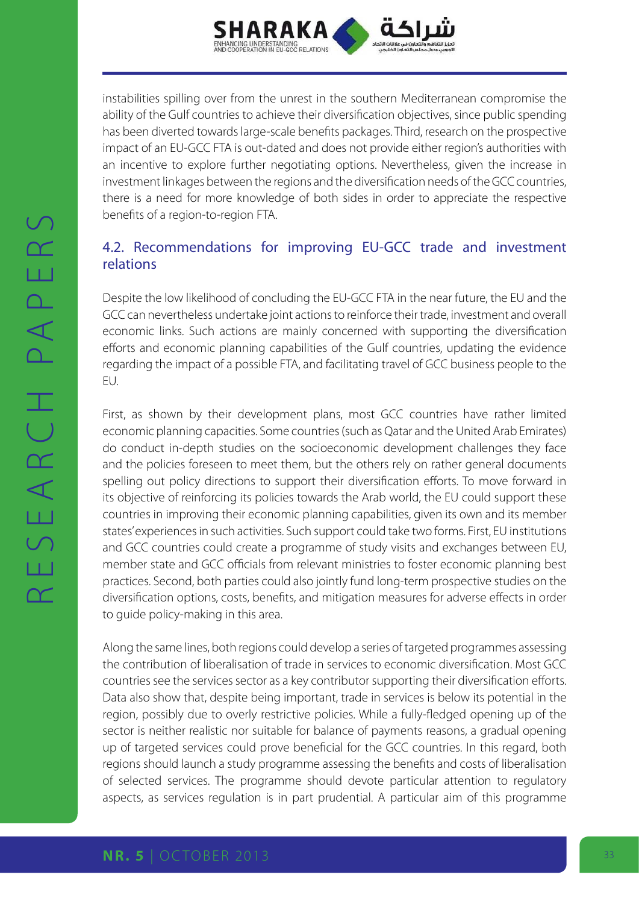

instabilities spilling over from the unrest in the southern Mediterranean compromise the ability of the Gulf countries to achieve their diversification objectives, since public spending has been diverted towards large-scale benefits packages. Third, research on the prospective impact of an EU-GCC FTA is out-dated and does not provide either region's authorities with an incentive to explore further negotiating options. Nevertheless, given the increase in investment linkages between the regions and the diversification needs of the GCC countries, there is a need for more knowledge of both sides in order to appreciate the respective benefits of a region-to-region FTA.

# 4.2. Recommendations for improving EU-GCC trade and investment relations

Despite the low likelihood of concluding the EU-GCC FTA in the near future, the EU and the GCC can nevertheless undertake joint actions to reinforce their trade, investment and overall economic links. Such actions are mainly concerned with supporting the diversification efforts and economic planning capabilities of the Gulf countries, updating the evidence regarding the impact of a possible FTA, and facilitating travel of GCC business people to the EU.

First, as shown by their development plans, most GCC countries have rather limited economic planning capacities. Some countries (such as Qatar and the United Arab Emirates) do conduct in-depth studies on the socioeconomic development challenges they face and the policies foreseen to meet them, but the others rely on rather general documents spelling out policy directions to support their diversification efforts. To move forward in its objective of reinforcing its policies towards the Arab world, the EU could support these countries in improving their economic planning capabilities, given its own and its member states' experiences in such activities. Such support could take two forms. First, EU institutions and GCC countries could create a programme of study visits and exchanges between EU, member state and GCC officials from relevant ministries to foster economic planning best practices. Second, both parties could also jointly fund long-term prospective studies on the diversification options, costs, benefits, and mitigation measures for adverse effects in order to guide policy-making in this area.

Along the same lines, both regions could develop a series of targeted programmes assessing the contribution of liberalisation of trade in services to economic diversification. Most GCC countries see the services sector as a key contributor supporting their diversification efforts. Data also show that, despite being important, trade in services is below its potential in the region, possibly due to overly restrictive policies. While a fully-fledged opening up of the sector is neither realistic nor suitable for balance of payments reasons, a gradual opening up of targeted services could prove beneficial for the GCC countries. In this regard, both regions should launch a study programme assessing the benefits and costs of liberalisation of selected services. The programme should devote particular attention to regulatory aspects, as services regulation is in part prudential. A particular aim of this programme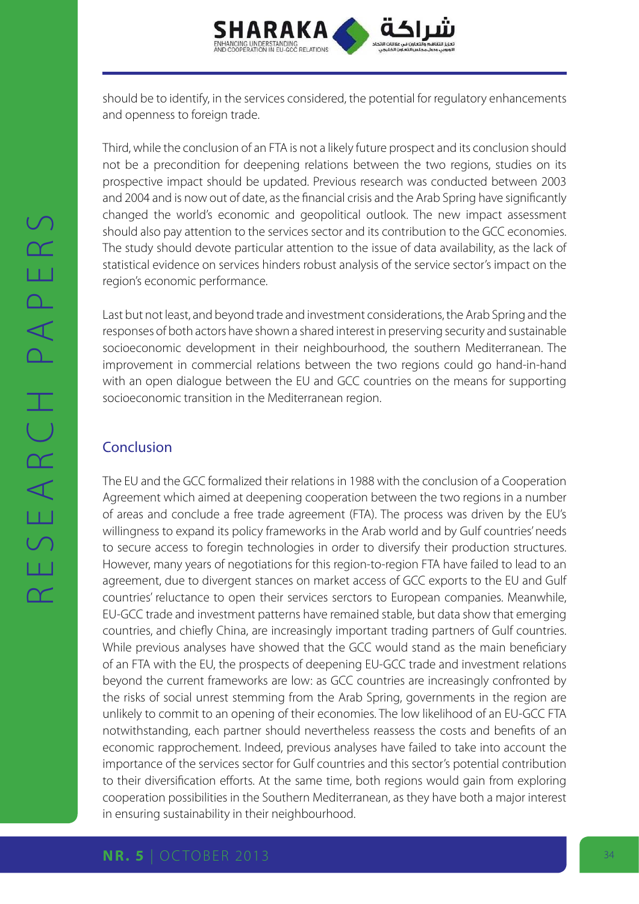

should be to identify, in the services considered, the potential for regulatory enhancements and openness to foreign trade.

Third, while the conclusion of an FTA is not a likely future prospect and its conclusion should not be a precondition for deepening relations between the two regions, studies on its prospective impact should be updated. Previous research was conducted between 2003 and 2004 and is now out of date, as the financial crisis and the Arab Spring have significantly changed the world's economic and geopolitical outlook. The new impact assessment should also pay attention to the services sector and its contribution to the GCC economies. The study should devote particular attention to the issue of data availability, as the lack of statistical evidence on services hinders robust analysis of the service sector's impact on the region's economic performance.

Last but not least, and beyond trade and investment considerations, the Arab Spring and the responses of both actors have shown a shared interest in preserving security and sustainable socioeconomic development in their neighbourhood, the southern Mediterranean. The improvement in commercial relations between the two regions could go hand-in-hand with an open dialogue between the EU and GCC countries on the means for supporting socioeconomic transition in the Mediterranean region.

# Conclusion

The EU and the GCC formalized their relations in 1988 with the conclusion of a Cooperation Agreement which aimed at deepening cooperation between the two regions in a number of areas and conclude a free trade agreement (FTA). The process was driven by the EU's willingness to expand its policy frameworks in the Arab world and by Gulf countries' needs to secure access to foregin technologies in order to diversify their production structures. However, many years of negotiations for this region-to-region FTA have failed to lead to an agreement, due to divergent stances on market access of GCC exports to the EU and Gulf countries' reluctance to open their services serctors to European companies. Meanwhile, EU-GCC trade and investment patterns have remained stable, but data show that emerging countries, and chiefly China, are increasingly important trading partners of Gulf countries. While previous analyses have showed that the GCC would stand as the main beneficiary of an FTA with the EU, the prospects of deepening EU-GCC trade and investment relations beyond the current frameworks are low: as GCC countries are increasingly confronted by the risks of social unrest stemming from the Arab Spring, governments in the region are unlikely to commit to an opening of their economies. The low likelihood of an EU-GCC FTA notwithstanding, each partner should nevertheless reassess the costs and benefits of an economic rapprochement. Indeed, previous analyses have failed to take into account the importance of the services sector for Gulf countries and this sector's potential contribution to their diversification efforts. At the same time, both regions would gain from exploring cooperation possibilities in the Southern Mediterranean, as they have both a major interest in ensuring sustainability in their neighbourhood.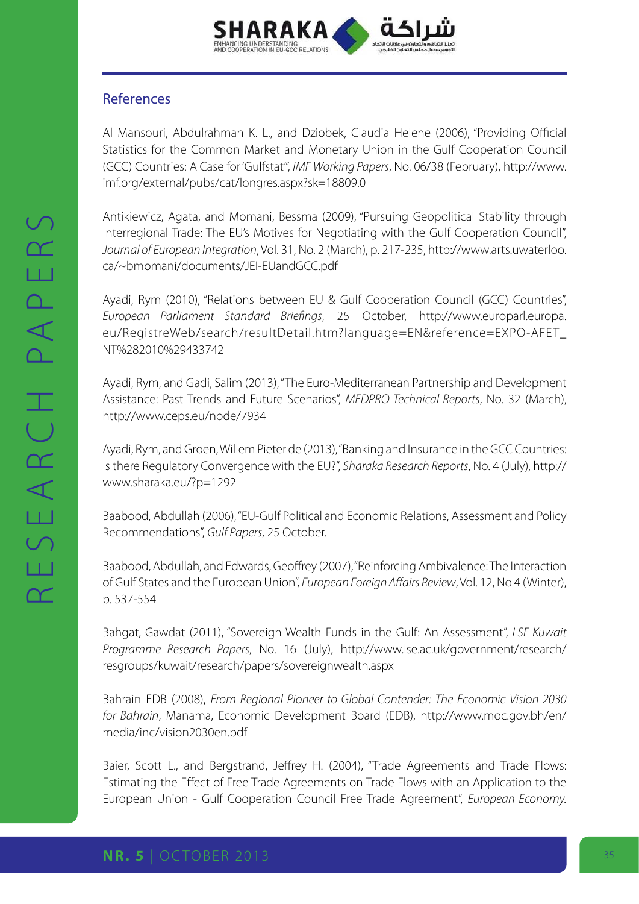

### References

Al Mansouri, Abdulrahman K. L., and Dziobek, Claudia Helene (2006), "Providing Official Statistics for the Common Market and Monetary Union in the Gulf Cooperation Council (GCC) Countries: A Case for 'Gulfstat'", *IMF Working Papers*, No. 06/38 (February), [http://www.](http://www.imf.org/external/pubs/cat/longres.aspx?sk=18809.0
) [imf.org/external/pubs/cat/longres.aspx?sk=18809.0](http://www.imf.org/external/pubs/cat/longres.aspx?sk=18809.0
)

Antikiewicz, Agata, and Momani, Bessma (2009), "Pursuing Geopolitical Stability through Interregional Trade: The EU's Motives for Negotiating with the Gulf Cooperation Council", *Journal of European Integration*, Vol. 31, No. 2 (March), p. 217-235, [http://www.arts.uwaterloo.](http://www.arts.uwaterloo.ca/~bmomani/documents/JEI-EUandGCC.pdf
) [ca/~bmomani/documents/JEI-EUandGCC.pdf](http://www.arts.uwaterloo.ca/~bmomani/documents/JEI-EUandGCC.pdf
)

Ayadi, Rym (2010), "Relations between EU & Gulf Cooperation Council (GCC) Countries", *European Parliament Standard Briefings*, 25 October, [http://www.europarl.europa.](http://www.europarl.europa.eu/RegistreWeb/search/resultDetail.htm?language=EN&reference=EXPO-AFET_NT%282010%29433742
) [eu/RegistreWeb/search/resultDetail.htm?language=EN&reference=EXPO-AFET\\_](http://www.europarl.europa.eu/RegistreWeb/search/resultDetail.htm?language=EN&reference=EXPO-AFET_NT%282010%29433742
) [NT%282010%29433742](http://www.europarl.europa.eu/RegistreWeb/search/resultDetail.htm?language=EN&reference=EXPO-AFET_NT%282010%29433742
)

Ayadi, Rym, and Gadi, Salim (2013), "The Euro-Mediterranean Partnership and Development Assistance: Past Trends and Future Scenarios", *MEDPRO Technical Reports*, No. 32 (March), <http://www.ceps.eu/node/7934>

Ayadi, Rym, and Groen, Willem Pieter de (2013), "Banking and Insurance in the GCC Countries: Is there Regulatory Convergence with the EU?", *Sharaka Research Reports*, No. 4 (July), [http://](http://www.sharaka.eu/?p=1292
) [www.sharaka.eu/?p=1292](http://www.sharaka.eu/?p=1292
)

Baabood, Abdullah (2006), "EU-Gulf Political and Economic Relations, Assessment and Policy Recommendations", *Gulf Papers*, 25 October.

Baabood, Abdullah, and Edwards, Geoffrey (2007), "Reinforcing Ambivalence: The Interaction of Gulf States and the European Union", *European Foreign Affairs Review*, Vol. 12, No 4 (Winter), p. 537-554

Bahgat, Gawdat (2011), "Sovereign Wealth Funds in the Gulf: An Assessment", *LSE Kuwait Programme Research Papers*, No. 16 (July), [http://www.lse.ac.uk/government/research/](http://www.lse.ac.uk/government/research/resgroups/kuwait/research/papers/sovereignwealth.aspx
) [resgroups/kuwait/research/papers/sovereignwealth.aspx](http://www.lse.ac.uk/government/research/resgroups/kuwait/research/papers/sovereignwealth.aspx
)

Bahrain EDB (2008), *From Regional Pioneer to Global Contender: The Economic Vision 2030 for Bahrain*, Manama, Economic Development Board (EDB), [http://www.moc.gov.bh/en/](http://www.moc.gov.bh/en/media/inc/vision2030en.pdf
) [media/inc/vision2030en.pdf](http://www.moc.gov.bh/en/media/inc/vision2030en.pdf
)

Baier, Scott L., and Bergstrand, Jeffrey H. (2004), "Trade Agreements and Trade Flows: Estimating the Effect of Free Trade Agreements on Trade Flows with an Application to the European Union - Gulf Cooperation Council Free Trade Agreement", *European Economy.*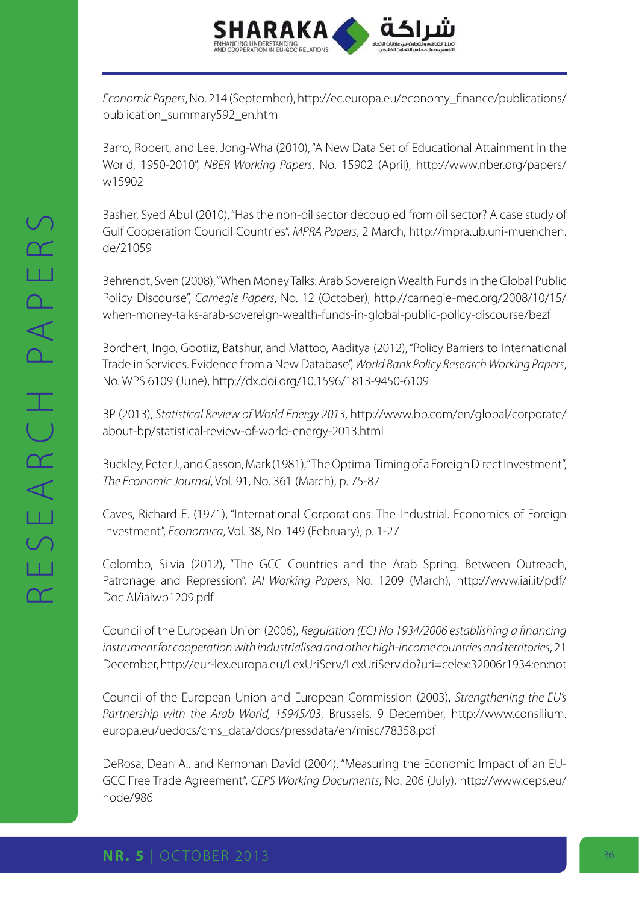

*Economic Papers*, No. 214 (September), [http://ec.europa.eu/economy\\_finance/publications/](http://ec.europa.eu/economy_finance/publications/publication_summary592_en.htm
) [publication\\_summary592\\_en.htm](http://ec.europa.eu/economy_finance/publications/publication_summary592_en.htm
)

Barro, Robert, and Lee, Jong-Wha (2010), "A New Data Set of Educational Attainment in the World, 1950-2010", *NBER Working Papers*, No. 15902 (April), [http://www.nber.org/papers/](http://www.nber.org/papers/w15902
) [w15902](http://www.nber.org/papers/w15902
)

Basher, Syed Abul (2010), "Has the non-oil sector decoupled from oil sector? A case study of Gulf Cooperation Council Countries", *MPRA Papers*, 2 March, [http://mpra.ub.uni-muenchen.](http://mpra.ub.uni-muenchen.de/21059
) [de/21059](http://mpra.ub.uni-muenchen.de/21059
)

Behrendt, Sven (2008), "When Money Talks: Arab Sovereign Wealth Funds in the Global Public Policy Discourse", *Carnegie Papers*, No. 12 (October), [http://carnegie-mec.org/2008/10/15/](http://carnegie-mec.org/2008/10/15/when-money-talks-arab-sovereign-wealth-funds-in-global-public-policy-discourse/bezf
) [when-money-talks-arab-sovereign-wealth-funds-in-global-public-policy-discourse/bezf](http://carnegie-mec.org/2008/10/15/when-money-talks-arab-sovereign-wealth-funds-in-global-public-policy-discourse/bezf
)

Borchert, Ingo, Gootiiz, Batshur, and Mattoo, Aaditya (2012), "Policy Barriers to International Trade in Services. Evidence from a New Database", *World Bank Policy Research Working Papers*, No. WPS 6109 (June), [http://dx.doi.org/10.1596/1813-9450-6109](http://dx.doi.org/10.1596/1813-9450-6109
)

BP (2013), *Statistical Review of World Energy 2013*, [http://www.bp.com/en/global/corporate/](http://www.bp.com/en/global/corporate/about-bp/statistical-review-of-world-energy-2013.html
) [about-bp/statistical-review-of-world-energy-2013.html](http://www.bp.com/en/global/corporate/about-bp/statistical-review-of-world-energy-2013.html
)

Buckley, Peter J., and Casson, Mark (1981), "The Optimal Timing of a Foreign Direct Investment", *The Economic Journal*, Vol. 91, No. 361 (March), p. 75-87

Caves, Richard E. (1971), "International Corporations: The Industrial. Economics of Foreign Investment", *Economica*, Vol. 38, No. 149 (February), p. 1-27

Colombo, Silvia (2012), "The GCC Countries and the Arab Spring. Between Outreach, Patronage and Repression", *IAI Working Papers*, No. 1209 (March), [http://www.iai.it/pdf/](http://www.iai.it/pdf/DocIAI/iaiwp1209.pdf
) [DocIAI/iaiwp1209.pdf](http://www.iai.it/pdf/DocIAI/iaiwp1209.pdf
)

Council of the European Union (2006), *Regulation (EC) No 1934/2006 establishing a financing instrument for cooperation with industrialised and other high-income countries and territories*, 21 December,<http://eur-lex.europa.eu/LexUriServ/LexUriServ.do?uri=celex:32006r1934:en:not>

Council of the European Union and European Commission (2003), *Strengthening the EU's Partnership with the Arab World, 15945/03*, Brussels, 9 December, [http://www.consilium.](http://www.consilium.europa.eu/uedocs/cms_data/docs/pressdata/en/misc/78358.pdf
) [europa.eu/uedocs/cms\\_data/docs/pressdata/en/misc/78358.pdf](http://www.consilium.europa.eu/uedocs/cms_data/docs/pressdata/en/misc/78358.pdf
)

DeRosa, Dean A., and Kernohan David (2004), "Measuring the Economic Impact of an EU-GCC Free Trade Agreement", *CEPS Working Documents*, No. 206 (July), [http://www.ceps.eu/](http://www.ceps.eu/node/986
) [node/986](http://www.ceps.eu/node/986
)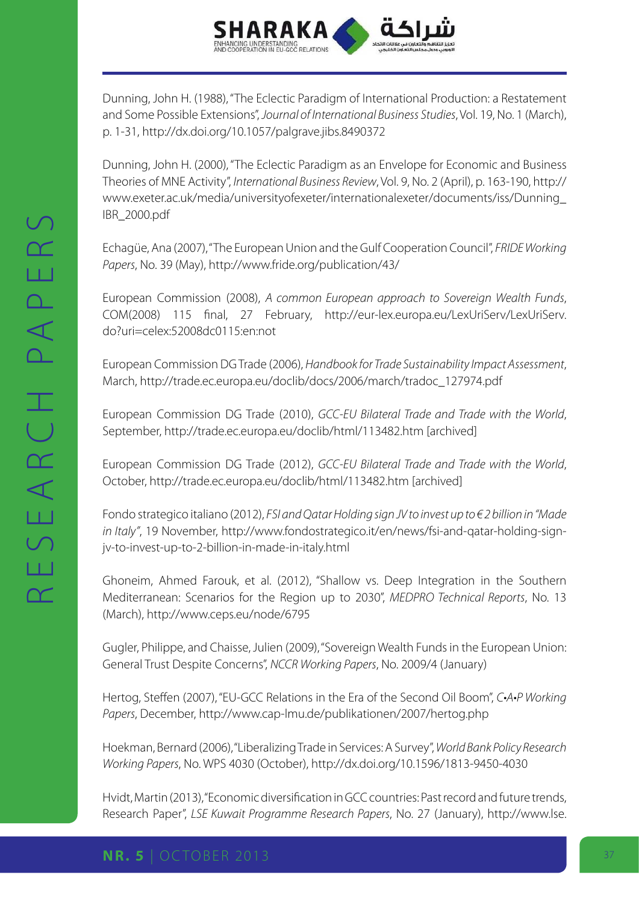

Dunning, John H. (1988), "The Eclectic Paradigm of International Production: a Restatement and Some Possible Extensions", *Journal of International Business Studies*, Vol. 19, No. 1 (March), p. 1-31, [http://dx.doi.org/10.1057/palgrave.jibs.8490372](http://dx.doi.org/10.1057/palgrave.jibs.8490372
)

Dunning, John H. (2000), "The Eclectic Paradigm as an Envelope for Economic and Business Theories of MNE Activity", *International Business Review*, Vol. 9, No. 2 (April), p. 163-190, [http://](http://www.exeter.ac.uk/media/universityofexeter/internationalexeter/documents/iss/Dunning_IBR_2000.pdf
) [www.exeter.ac.uk/media/universityofexeter/internationalexeter/documents/iss/Dunning\\_](http://www.exeter.ac.uk/media/universityofexeter/internationalexeter/documents/iss/Dunning_IBR_2000.pdf
) [IBR\\_2000.pdf](http://www.exeter.ac.uk/media/universityofexeter/internationalexeter/documents/iss/Dunning_IBR_2000.pdf
)

Echagüe, Ana (2007), "The European Union and the Gulf Cooperation Council", *FRIDE Working Papers*, No. 39 (May), [http://www.fride.org/publication/43/](http://www.fride.org/publication/43/
)

European Commission (2008), *A common European approach to Sovereign Wealth Funds*, COM(2008) 115 final, 27 February, [http://eur-lex.europa.eu/LexUriServ/LexUriServ.](http://eur-lex.europa.eu/LexUriServ/LexUriServ.do?uri=celex:52008dc0115:en:not
) [do?uri=celex:52008dc0115:en:not](http://eur-lex.europa.eu/LexUriServ/LexUriServ.do?uri=celex:52008dc0115:en:not
)

European Commission DG Trade (2006), *Handbook for Trade Sustainability Impact Assessment*, March, [http://trade.ec.europa.eu/doclib/docs/2006/march/tradoc\\_127974.pdf](http://trade.ec.europa.eu/doclib/docs/2006/march/tradoc_127974.pdf
)

European Commission DG Trade (2010), *GCC-EU Bilateral Trade and Trade with the World*, September, [http://trade.ec.europa.eu/doclib/html/113482.htm \[archived\]](http://trade.ec.europa.eu/doclib/html/113482.htm [archived]
)

European Commission DG Trade (2012), *GCC-EU Bilateral Trade and Trade with the World*, October,<http://trade.ec.europa.eu/doclib/html/113482.htm> [archived]

Fondo strategico italiano (2012), *FSI and Qatar Holding sign JV to invest up to € 2 billion in "Made in Italy"*, 19 November, [http://www.fondostrategico.it/en/news/fsi-and-qatar-holding-sign](http://www.fondostrategico.it/en/news/fsi-and-qatar-holding-sign-jv-to-invest-up-to-2-billion-in-made-in-italy.html
)[jv-to-invest-up-to-2-billion-in-made-in-italy.html](http://www.fondostrategico.it/en/news/fsi-and-qatar-holding-sign-jv-to-invest-up-to-2-billion-in-made-in-italy.html
)

Ghoneim, Ahmed Farouk, et al. (2012), "Shallow vs. Deep Integration in the Southern Mediterranean: Scenarios for the Region up to 2030", *MEDPRO Technical Reports*, No. 13 (March), [http://www.ceps.eu/node/6795](http://www.ceps.eu/node/6795
)

Gugler, Philippe, and Chaisse, Julien (2009), "Sovereign Wealth Funds in the European Union: General Trust Despite Concerns", *NCCR Working Papers*, No. 2009/4 (January)

Hertog, Steffen (2007), "EU-GCC Relations in the Era of the Second Oil Boom", C.A.P Working *Papers*, December, [http://www.cap-lmu.de/publikationen/2007/hertog.php](http://www.cap-lmu.de/publikationen/2007/hertog.php
)

Hoekman, Bernard (2006), "Liberalizing Trade in Services: A Survey", *World Bank Policy Research Working Papers*, No. WPS 4030 (October),<http://dx.doi.org/10.1596/1813-9450-4030>

Hvidt, Martin (2013), "Economic diversification in GCC countries: Past record and future trends, Research Paper", *LSE Kuwait Programme Research Papers*, No. 27 (January), [http://www.lse.](http://www.lse.ac.uk/government/research/resgroups/kuwait/research/papers/economicdiversification.aspx
)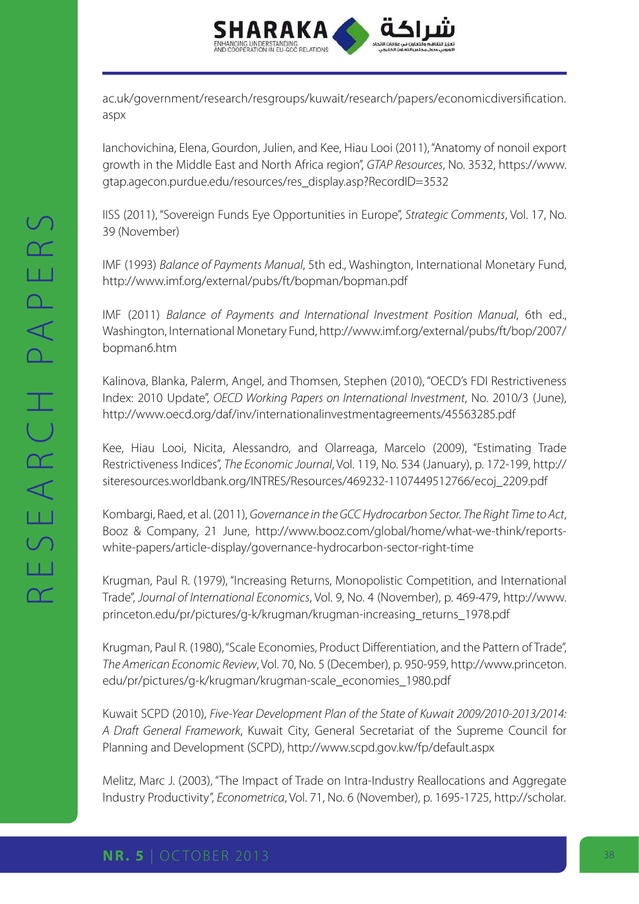

[ac.uk/government/research/resgroups/kuwait/research/papers/economicdiversification.](http://www.lse.ac.uk/government/research/resgroups/kuwait/research/papers/economicdiversification.aspx
) [aspx](http://www.lse.ac.uk/government/research/resgroups/kuwait/research/papers/economicdiversification.aspx
)

Ianchovichina, Elena, Gourdon, Julien, and Kee, Hiau Looi (2011), "Anatomy of nonoil export growth in the Middle East and North Africa region", *GTAP Resources*, No. 3532, [https://www.](https://www.gtap.agecon.purdue.edu/resources/res_display.asp?RecordID=3532
) [gtap.agecon.purdue.edu/resources/res\\_display.asp?RecordID=3532](https://www.gtap.agecon.purdue.edu/resources/res_display.asp?RecordID=3532
)

IISS (2011), "Sovereign Funds Eye Opportunities in Europe", *Strategic Comments*, Vol. 17, No. 39 (November)

IMF (1993) *Balance of Payments Manual*, 5th ed., Washington, International Monetary Fund, [http://www.imf.org/external/pubs/ft/bopman/bopman.pdf](http://www.imf.org/external/pubs/ft/bopman/bopman.pdf
)

IMF (2011) *Balance of Payments and International Investment Position Manual*, 6th ed., Washington, International Monetary Fund, [http://www.imf.org/external/pubs/ft/bop/2007/](http://www.imf.org/external/pubs/ft/bop/2007/bopman6.htm
) [bopman6.htm](http://www.imf.org/external/pubs/ft/bop/2007/bopman6.htm
)

Kalinova, Blanka, Palerm, Angel, and Thomsen, Stephen (2010), "OECD's FDI Restrictiveness Index: 2010 Update", *OECD Working Papers on International Investment*, No. 2010/3 (June), [http://www.oecd.org/daf/inv/internationalinvestmentagreements/45563285.pdf](http://www.oecd.org/daf/inv/internationalinvestmentagreements/45563285.pdf
)

Kee, Hiau Looi, Nicita, Alessandro, and Olarreaga, Marcelo (2009), "Estimating Trade Restrictiveness Indices", *The Economic Journal*, Vol. 119, No. 534 (January), p. 172-199, [http://](http://siteresources.worldbank.org/INTRES/Resources/469232-1107449512766/ecoj_2209.pdf
) [siteresources.worldbank.org/INTRES/Resources/469232-1107449512766/ecoj\\_2209.pdf](http://siteresources.worldbank.org/INTRES/Resources/469232-1107449512766/ecoj_2209.pdf
)

Kombargi, Raed, et al. (2011), *Governance in the GCC Hydrocarbon Sector. The Right Time to Act*, Booz & Company, 21 June, [http://www.booz.com/global/home/what-we-think/reports](http://www.booz.com/global/home/what-we-think/reports-white-papers/article-display/governance-hydrocarbon-sector-right-time)[white-papers/article-display/governance-hydrocarbon-sector-right-time](http://www.booz.com/global/home/what-we-think/reports-white-papers/article-display/governance-hydrocarbon-sector-right-time)

Krugman, Paul R. (1979), "Increasing Returns, Monopolistic Competition, and International Trade", *Journal of International Economics*, Vol. 9, No. 4 (November), p. 469-479, [http://www.](http://www.princeton.edu/pr/pictures/g-k/krugman/krugman-increasing_returns_1978.pdf
) [princeton.edu/pr/pictures/g-k/krugman/krugman-increasing\\_returns\\_1978.pdf](http://www.princeton.edu/pr/pictures/g-k/krugman/krugman-increasing_returns_1978.pdf
)

Krugman, Paul R. (1980), "Scale Economies, Product Differentiation, and the Pattern of Trade", *The American Economic Review*, Vol. 70, No. 5 (December), p. 950-959, [http://www.princeton.](http://www.princeton.edu/pr/pictures/g-k/krugman/krugman-scale_economies_1980.pdf
) [edu/pr/pictures/g-k/krugman/krugman-scale\\_economies\\_1980.pdf](http://www.princeton.edu/pr/pictures/g-k/krugman/krugman-scale_economies_1980.pdf
)

Kuwait SCPD (2010), *Five-Year Development Plan of the State of Kuwait 2009/2010-2013/2014: A Draft General Framework*, Kuwait City, General Secretariat of the Supreme Council for Planning and Development (SCPD), [http://www.scpd.gov.kw/fp/default.aspx](http://www.scpd.gov.kw/fp/default.aspx
)

Melitz, Marc J. (2003), "The Impact of Trade on Intra-Industry Reallocations and Aggregate Industry Productivity", *Econometrica*, Vol. 71, No. 6 (November), p. 1695-1725, [http://scholar.](http://scholar.harvard.edu/melitz/publications/impact-trade-intra-industry-reallocations-and-aggregate-industry-productivity
)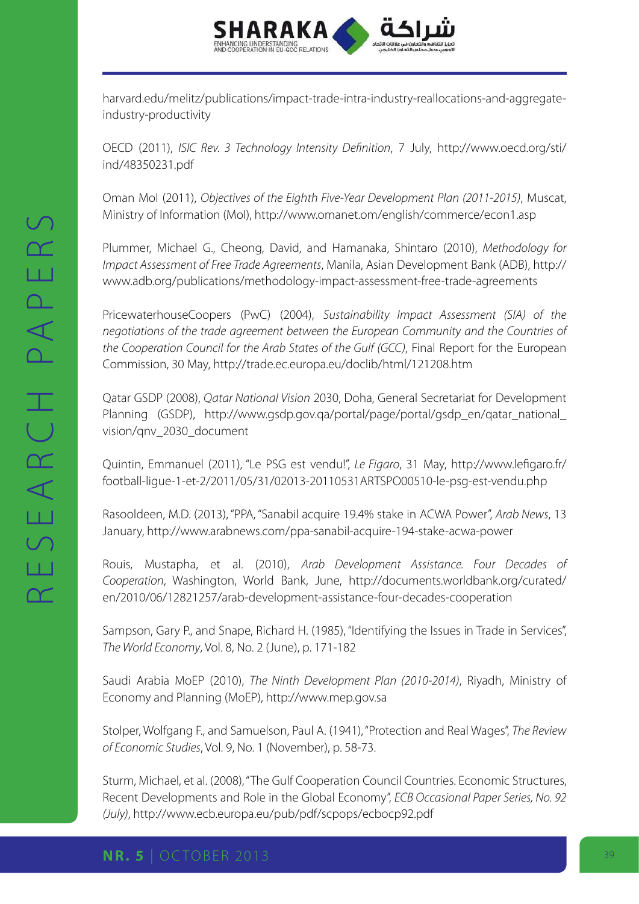

[harvard.edu/melitz/publications/impact-trade-intra-industry-reallocations-and-aggregate](http://scholar.harvard.edu/melitz/publications/impact-trade-intra-industry-reallocations-and-aggregate-industry-productivity
)[industry-productivity](http://scholar.harvard.edu/melitz/publications/impact-trade-intra-industry-reallocations-and-aggregate-industry-productivity
)

OECD (2011), *ISIC Rev. 3 Technology Intensity Definition*, 7 July, [http://www.oecd.org/sti/](http://www.oecd.org/sti/ind/48350231.pdf
) [ind/48350231.pdf](http://www.oecd.org/sti/ind/48350231.pdf
)

Oman MoI (2011), *Objectives of the Eighth Five-Year Development Plan (2011-2015)*, Muscat, Ministry of Information (MoI), [http://www.omanet.om/english/commerce/econ1.asp](http://www.omanet.om/english/commerce/econ1.asp
)

Plummer, Michael G., Cheong, David, and Hamanaka, Shintaro (2010), *Methodology for Impact Assessment of Free Trade Agreements*, Manila, Asian Development Bank (ADB), [http://](http://www.adb.org/publications/methodology-impact-assessment-free-trade-agreements) [www.adb.org/publications/methodology-impact-assessment-free-trade-agreements](http://www.adb.org/publications/methodology-impact-assessment-free-trade-agreements)

PricewaterhouseCoopers (PwC) (2004), *Sustainability Impact Assessment (SIA) of the negotiations of the trade agreement between the European Community and the Countries of the Cooperation Council for the Arab States of the Gulf (GCC)*, Final Report for the European Commission, 30 May, [http://trade.ec.europa.eu/doclib/html/121208.htm](http://trade.ec.europa.eu/doclib/html/121208.htm
)

Qatar GSDP (2008), *Qatar National Vision* 2030, Doha, General Secretariat for Development Planning (GSDP), [http://www.gsdp.gov.qa/portal/page/portal/gsdp\\_en/qatar\\_national\\_](http://www.gsdp.gov.qa/portal/page/portal/gsdp_en/qatar_national_vision/qnv_2030_document
) [vision/qnv\\_2030\\_document](http://www.gsdp.gov.qa/portal/page/portal/gsdp_en/qatar_national_vision/qnv_2030_document
)

Quintin, Emmanuel (2011), "Le PSG est vendu!", *Le Figaro*, 31 May, [http://www.lefigaro.fr/](http://www.lefigaro.fr/football-ligue-1-et-2/2011/05/31/02013-20110531ARTSPO00510-le-psg-est-vendu.php) [football-ligue-1-et-2/2011/05/31/02013-20110531ARTSPO00510-le-psg-est-vendu.php](http://www.lefigaro.fr/football-ligue-1-et-2/2011/05/31/02013-20110531ARTSPO00510-le-psg-est-vendu.php)

Rasooldeen, M.D. (2013), "PPA, "Sanabil acquire 19.4% stake in ACWA Power", *Arab News*, 13 January,<http://www.arabnews.com/ppa-sanabil-acquire-194-stake-acwa-power>

Rouis, Mustapha, et al. (2010), *Arab Development Assistance. Four Decades of Cooperation*, Washington, World Bank, June, [http://documents.worldbank.org/curated/](http://documents.worldbank.org/curated/en/2010/06/12821257/arab-development-assistance-four-decades-cooperation
) [en/2010/06/12821257/arab-development-assistance-four-decades-cooperation](http://documents.worldbank.org/curated/en/2010/06/12821257/arab-development-assistance-four-decades-cooperation
)

Sampson, Gary P., and Snape, Richard H. (1985), "Identifying the Issues in Trade in Services", *The World Economy*, Vol. 8, No. 2 (June), p. 171-182

Saudi Arabia MoEP (2010), *The Ninth Development Plan (2010-2014)*, Riyadh, Ministry of Economy and Planning (MoEP), [http://www.mep.gov.sa](http://www.mep.gov.sa
)

Stolper, Wolfgang F., and Samuelson, Paul A. (1941), "Protection and Real Wages", *The Review of Economic Studies*, Vol. 9, No. 1 (November), p. 58-73.

Sturm, Michael, et al. (2008), "The Gulf Cooperation Council Countries. Economic Structures, Recent Developments and Role in the Global Economy", *ECB Occasional Paper Series, No. 92 (July)*, [http://www.ecb.europa.eu/pub/pdf/scpops/ecbocp92.pdf](http://www.ecb.europa.eu/pub/pdf/scpops/ecbocp92.pdf
)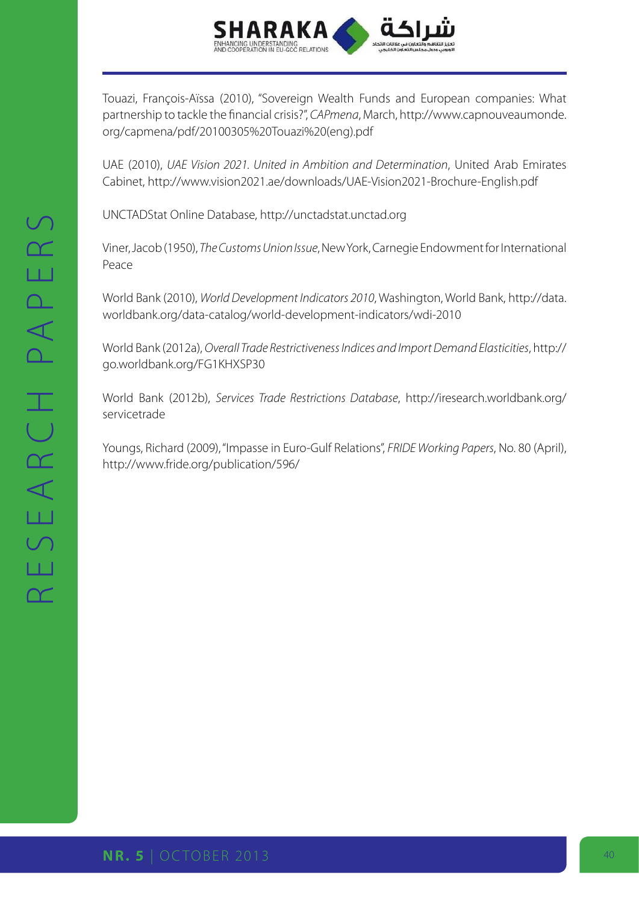

Touazi, François-Aïssa (2010), "Sovereign Wealth Funds and European companies: What partnership to tackle the financial crisis?", *CAPmena*, March, [http://www.capnouveaumonde.](http://www.capnouveaumonde.org/capmena/pdf/20100305%20Touazi%20(eng).pdf
) [org/capmena/pdf/20100305%20Touazi%20\(eng\).pdf](http://www.capnouveaumonde.org/capmena/pdf/20100305%20Touazi%20(eng).pdf
)

UAE (2010), *UAE Vision 2021. United in Ambition and Determination*, United Arab Emirates Cabinet, [http://www.vision2021.ae/downloads/UAE-Vision2021-Brochure-English.pdf](http://www.vision2021.ae/downloads/UAE-Vision2021-Brochure-English.pdf
)

UNCTADStat Online Database, [http://unctadstat.unctad.org](http://unctadstat.unctad.org
)

Viner, Jacob (1950), *The Customs Union Issue*, New York, Carnegie Endowment for International Peace

World Bank (2010), *World Development Indicators 2010*, Washington, World Bank, [http://data.](http://data.worldbank.org/data-catalog/world-development-indicators/wdi-2010
) [worldbank.org/data-catalog/world-development-indicators/wdi-2010](http://data.worldbank.org/data-catalog/world-development-indicators/wdi-2010
)

World Bank (2012a), *Overall Trade Restrictiveness Indices and Import Demand Elasticities*, [http://](http://go.worldbank.org/FG1KHXSP30
) [go.worldbank.org/FG1KHXSP30](http://go.worldbank.org/FG1KHXSP30
)

World Bank (2012b), *Services Trade Restrictions Database*, [http://iresearch.worldbank.org/](http://iresearch.worldbank.org/servicetrade
) [servicetrade](http://iresearch.worldbank.org/servicetrade
)

Youngs, Richard (2009), "Impasse in Euro-Gulf Relations", *FRIDE Working Papers*, No. 80 (April), [http://www.fride.org/publication/596/](http://www.fride.org/publication/596/
)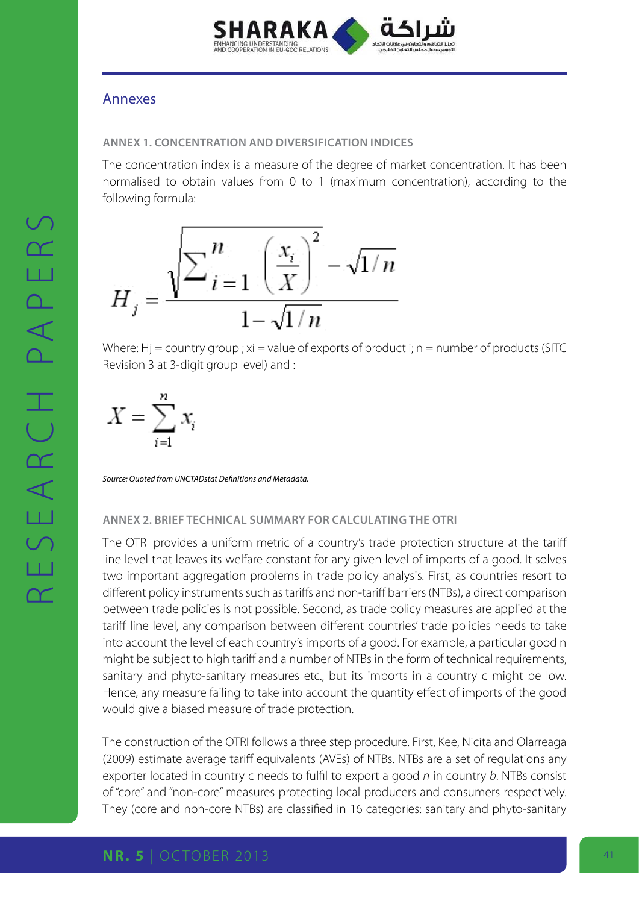

### Annexes

#### **Annex 1. Concentration and diversification indices**

The concentration index is a measure of the degree of market concentration. It has been normalised to obtain values from 0 to 1 (maximum concentration), according to the following formula:



Where:  $Hj =$  country group;  $xi =$  value of exports of product i; n = number of products (SITC Revision 3 at 3-digit group level) and :

$$
X = \sum_{i=1}^{n} x_i
$$

*Source: Quoted from UNCTADstat Definitions and Metadata.*

#### **Annex 2. Brief technical summary for calculating the OTRI**

The OTRI provides a uniform metric of a country's trade protection structure at the tariff line level that leaves its welfare constant for any given level of imports of a good. It solves two important aggregation problems in trade policy analysis. First, as countries resort to different policy instruments such as tariffs and non-tariff barriers (NTBs), a direct comparison between trade policies is not possible. Second, as trade policy measures are applied at the tariff line level, any comparison between different countries' trade policies needs to take into account the level of each country's imports of a good. For example, a particular good n might be subject to high tariff and a number of NTBs in the form of technical requirements, sanitary and phyto-sanitary measures etc., but its imports in a country c might be low. Hence, any measure failing to take into account the quantity effect of imports of the good would give a biased measure of trade protection.

The construction of the OTRI follows a three step procedure. First, Kee, Nicita and Olarreaga (2009) estimate average tariff equivalents (AVEs) of NTBs. NTBs are a set of regulations any exporter located in country c needs to fulfil to export a good *n* in country *b*. NTBs consist of "core" and "non-core" measures protecting local producers and consumers respectively. They (core and non-core NTBs) are classified in 16 categories: sanitary and phyto-sanitary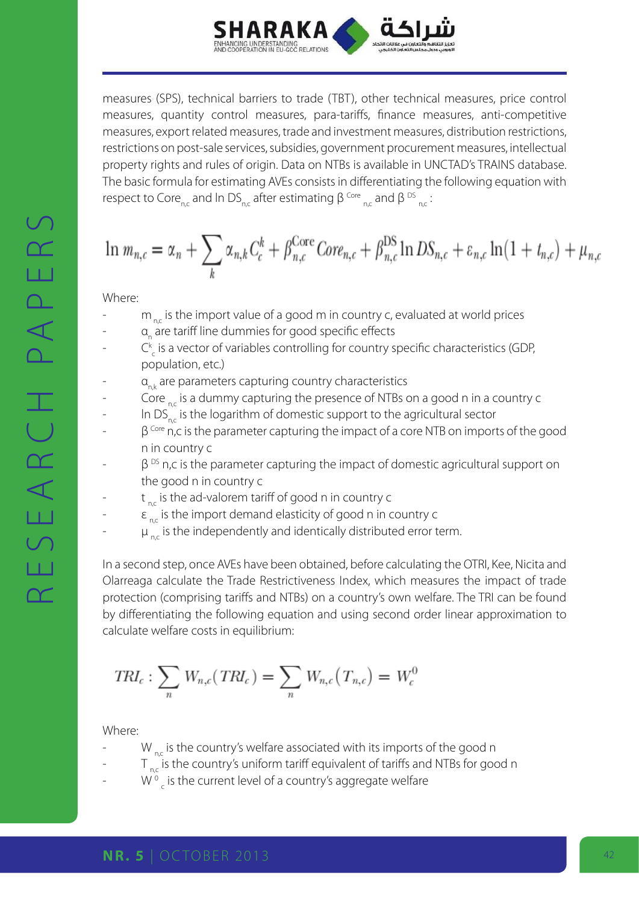

measures (SPS), technical barriers to trade (TBT), other technical measures, price control measures, quantity control measures, para-tariffs, finance measures, anti-competitive measures, export related measures, trade and investment measures, distribution restrictions, restrictions on post-sale services, subsidies, government procurement measures, intellectual property rights and rules of origin. Data on NTBs is available in UNCTAD's TRAINS database. The basic formula for estimating AVEs consists in differentiating the following equation with respect to Core<sub>n,c</sub> and In DS<sub>n,c</sub> after estimating β <sup>Core</sup><sub>n,c</sub> and β <sup>DS</sup><sub>n,c</sub>:

$$
\ln m_{n,c} = \alpha_n + \sum_k \alpha_{n,k} C_c^k + \beta_{n,c}^{\text{Core}} \text{Core}_{n,c} + \beta_{n,c}^{\text{DS}} \ln \text{DS}_{n,c} + \varepsilon_{n,c} \ln(1 + t_{n,c}) + \mu_{n,c}
$$

Where:

- $m<sub>nc</sub>$  is the import value of a good m in country c, evaluated at world prices
- a<sub>n</sub> are tariff line dummies for good specific effects
- $-C_{c}^{k}$  is a vector of variables controlling for country specific characteristics (GDP, population, etc.)
- $a_{nk}$  are parameters capturing country characteristics
- Core  $n_{\rm cc}$  is a dummy capturing the presence of NTBs on a good n in a country c
- In  $DS_{n,c}$  is the logarithm of domestic support to the agricultural sector
- $\beta^{\text{Core}}$  n,c is the parameter capturing the impact of a core NTB on imports of the good n in country c
- $\beta$ <sup>DS</sup> n,c is the parameter capturing the impact of domestic agricultural support on the good n in country c
- $t_{net}$  is the ad-valorem tariff of good n in country c
- $\epsilon_{nc}$  is the import demand elasticity of good n in country c
- $\mu_{nc}$  is the independently and identically distributed error term.

In a second step, once AVEs have been obtained, before calculating the OTRI, Kee, Nicita and Olarreaga calculate the Trade Restrictiveness Index, which measures the impact of trade protection (comprising tariffs and NTBs) on a country's own welfare. The TRI can be found by differentiating the following equation and using second order linear approximation to calculate welfare costs in equilibrium:

$$
TRI_c: \sum_n W_{n,c}(TRI_c) = \sum_n W_{n,c}(T_{n,c}) = W_c^0
$$

Where:

- $W_{nc}$  is the country's welfare associated with its imports of the good n
- $T_{n,c}$  is the country's uniform tariff equivalent of tariffs and NTBs for good n
- W<sup>o</sup><sub>c</sub> is the current level of a country's aggregate welfare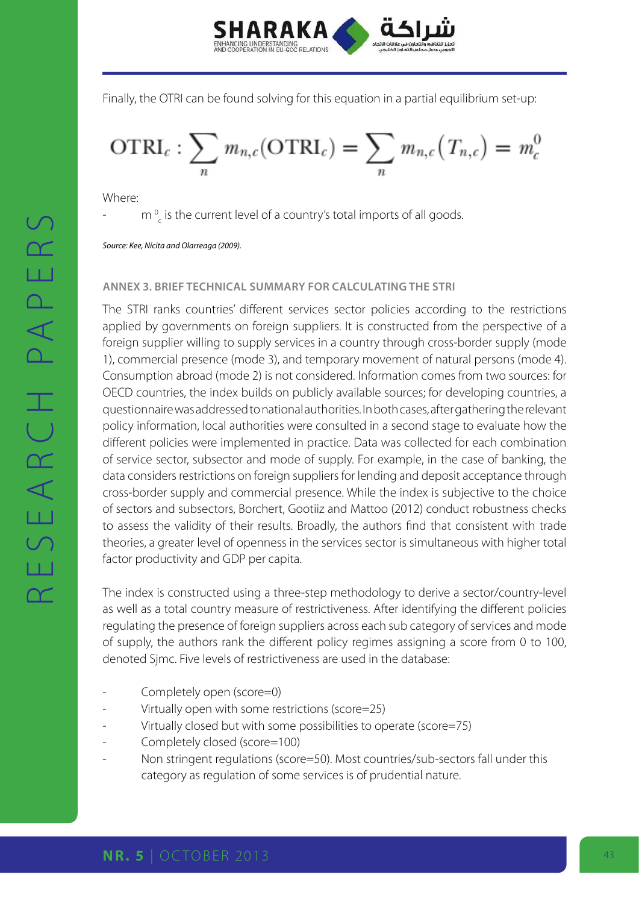

Finally, the OTRI can be found solving for this equation in a partial equilibrium set-up:

$$
\text{OTRI}_c: \sum_n m_{n,c}(\text{OTRI}_c) = \sum_n m_{n,c}(T_{n,c}) = m_c^0
$$

Where:

-  $m \frac{1}{c}$  is the current level of a country's total imports of all goods.

*Source: Kee, Nicita and Olarreaga (2009).*

#### **Annex 3. Brief technical summary for calculating the STRI**

The STRI ranks countries' different services sector policies according to the restrictions applied by governments on foreign suppliers. It is constructed from the perspective of a foreign supplier willing to supply services in a country through cross-border supply (mode 1), commercial presence (mode 3), and temporary movement of natural persons (mode 4). Consumption abroad (mode 2) is not considered. Information comes from two sources: for OECD countries, the index builds on publicly available sources; for developing countries, a questionnaire was addressed to national authorities. In both cases, after gathering the relevant policy information, local authorities were consulted in a second stage to evaluate how the different policies were implemented in practice. Data was collected for each combination of service sector, subsector and mode of supply. For example, in the case of banking, the data considers restrictions on foreign suppliers for lending and deposit acceptance through cross-border supply and commercial presence. While the index is subjective to the choice of sectors and subsectors, Borchert, Gootiiz and Mattoo (2012) conduct robustness checks to assess the validity of their results. Broadly, the authors find that consistent with trade theories, a greater level of openness in the services sector is simultaneous with higher total factor productivity and GDP per capita.

The index is constructed using a three-step methodology to derive a sector/country-level as well as a total country measure of restrictiveness. After identifying the different policies regulating the presence of foreign suppliers across each sub category of services and mode of supply, the authors rank the different policy regimes assigning a score from 0 to 100, denoted Sjmc. Five levels of restrictiveness are used in the database:

- Completely open (score=0)
- Virtually open with some restrictions (score=25)
- Virtually closed but with some possibilities to operate (score=75)
- Completely closed (score=100)
- Non stringent regulations (score=50). Most countries/sub-sectors fall under this category as regulation of some services is of prudential nature.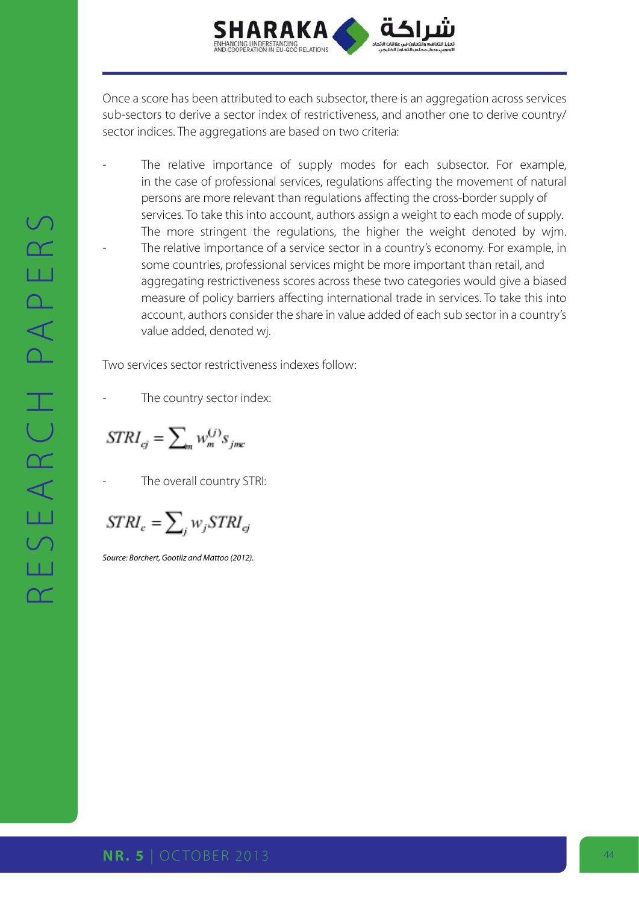

Once a score has been attributed to each subsector, there is an aggregation across services sub-sectors to derive a sector index of restrictiveness, and another one to derive country/ sector indices. The aggregations are based on two criteria:

The relative importance of supply modes for each subsector. For example, in the case of professional services, regulations affecting the movement of natural persons are more relevant than regulations affecting the cross-border supply of services. To take this into account, authors assign a weight to each mode of supply. The more stringent the regulations, the higher the weight denoted by wjm. The relative importance of a service sector in a country's economy. For example, in some countries, professional services might be more important than retail, and aggregating restrictiveness scores across these two categories would give a biased measure of policy barriers affecting international trade in services. To take this into account, authors consider the share in value added of each sub sector in a country's value added, denoted wj.

Two services sector restrictiveness indexes follow:

The country sector index:

 $STRI_{ci} = \sum_{m} w_m^{(j)} s_{jmc}$ 

The overall country STRI:

 $STRI_c = \sum_j w_j STRI_{cj}$ 

*Source: Borchert, Gootiiz and Mattoo (2012).*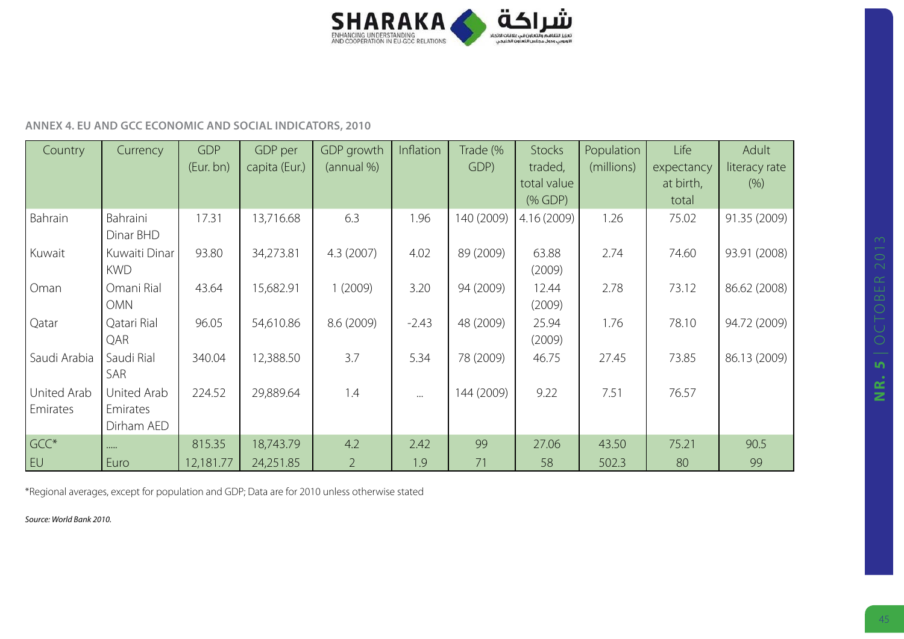

#### **Annex 4. EU and GCC economic and social indicators, 2010**

| Country                 | Currency                              | <b>GDP</b><br>(Eur. bn) | GDP per<br>capita (Eur.) | GDP growth<br>(annual %) | Inflation | Trade (%<br>GDP) | Stocks<br>traded,<br>total value | Population<br>(millions) | Life<br>expectancy<br>at birth, | Adult<br>literacy rate<br>(9/6) |
|-------------------------|---------------------------------------|-------------------------|--------------------------|--------------------------|-----------|------------------|----------------------------------|--------------------------|---------------------------------|---------------------------------|
|                         |                                       |                         |                          |                          |           |                  | $(% )^{2}(x)$ (% GDP)            |                          | total                           |                                 |
| Bahrain                 | Bahraini<br>Dinar BHD                 | 17.31                   | 13,716.68                | 6.3                      | 1.96      | 140 (2009)       | 4.16(2009)                       | 1.26                     | 75.02                           | 91.35 (2009)                    |
| Kuwait                  | Kuwaiti Dinar<br><b>KWD</b>           | 93.80                   | 34,273.81                | 4.3(2007)                | 4.02      | 89 (2009)        | 63.88<br>(2009)                  | 2.74                     | 74.60                           | 93.91 (2008)                    |
| Oman                    | Omani Rial<br><b>OMN</b>              | 43.64                   | 15,682.91                | 1(2009)                  | 3.20      | 94 (2009)        | 12.44<br>(2009)                  | 2.78                     | 73.12                           | 86.62 (2008)                    |
| Qatar                   | Qatari Rial<br>QAR                    | 96.05                   | 54,610.86                | 8.6 (2009)               | $-2.43$   | 48 (2009)        | 25.94<br>(2009)                  | 1.76                     | 78.10                           | 94.72 (2009)                    |
| Saudi Arabia            | Saudi Rial<br>SAR                     | 340.04                  | 12,388.50                | 3.7                      | 5.34      | 78 (2009)        | 46.75                            | 27.45                    | 73.85                           | 86.13 (2009)                    |
| United Arab<br>Emirates | United Arab<br>Emirates<br>Dirham AED | 224.52                  | 29,889.64                | 1.4                      | $\cdots$  | 144 (2009)       | 9.22                             | 7.51                     | 76.57                           |                                 |
| GCC*                    | $\cdots$                              | 815.35                  | 18,743.79                | 4.2                      | 2.42      | 99               | 27.06                            | 43.50                    | 75.21                           | 90.5                            |
| EU                      | Euro                                  | 12,181.77               | 24,251.85                | $\overline{2}$           | 1.9       | 71               | 58                               | 502.3                    | 80                              | 99                              |

\*Regional averages, except for population and GDP; Data are for 2010 unless otherwise stated

*Source: World Bank 2010.*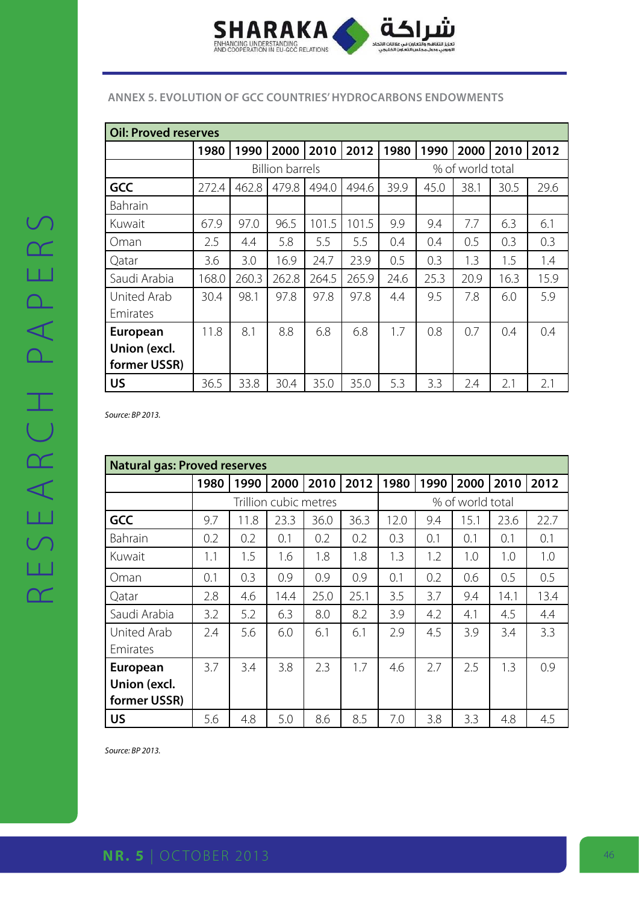

#### **Annex 5. Evolution of GCC countries' hydrocarbons endowments**

| Oil: Proved reserves |       |       |                        |       |       |                  |      |      |      |      |
|----------------------|-------|-------|------------------------|-------|-------|------------------|------|------|------|------|
|                      | 1980  | 1990  | 2000                   | 2010  | 2012  | 1980             | 1990 | 2000 | 2010 | 2012 |
|                      |       |       | <b>Billion barrels</b> |       |       | % of world total |      |      |      |      |
| <b>GCC</b>           | 272.4 | 462.8 | 479.8                  | 494.0 | 494.6 | 39.9             | 45.0 | 38.1 | 30.5 | 29.6 |
| Bahrain              |       |       |                        |       |       |                  |      |      |      |      |
| Kuwait               | 67.9  | 97.0  | 96.5                   | 101.5 | 101.5 | 9.9              | 9.4  | 7.7  | 6.3  | 6.1  |
| Oman                 | 2.5   | 4.4   | 5.8                    | 5.5   | 5.5   | 0.4              | 0.4  | 0.5  | 0.3  | 0.3  |
| Qatar                | 3.6   | 3.0   | 16.9                   | 24.7  | 23.9  | 0.5              | 0.3  | 1.3  | 1.5  | 1.4  |
| Saudi Arabia         | 168.0 | 260.3 | 262.8                  | 264.5 | 265.9 | 24.6             | 25.3 | 20.9 | 16.3 | 15.9 |
| United Arab          | 30.4  | 98.1  | 97.8                   | 97.8  | 97.8  | 4.4              | 9.5  | 7.8  | 6.0  | 5.9  |
| Emirates             |       |       |                        |       |       |                  |      |      |      |      |
| <b>European</b>      | 11.8  | 8.1   | 8.8                    | 6.8   | 6.8   | 1.7              | 0.8  | 0.7  | 0.4  | 0.4  |
| Union (excl.         |       |       |                        |       |       |                  |      |      |      |      |
| former USSR)         |       |       |                        |       |       |                  |      |      |      |      |
| <b>US</b>            | 36.5  | 33.8  | 30.4                   | 35.0  | 35.0  | 5.3              | 3.3  | 2.4  | 2.1  | 2.1  |

*Source: BP 2013.*

| <b>Natural gas: Proved reserves</b> |                       |      |      |      |      |      |                  |      |      |      |  |
|-------------------------------------|-----------------------|------|------|------|------|------|------------------|------|------|------|--|
|                                     | 1980                  | 1990 | 2000 | 2010 | 2012 | 1980 | 1990             | 2000 | 2010 | 2012 |  |
|                                     | Trillion cubic metres |      |      |      |      |      | % of world total |      |      |      |  |
| <b>GCC</b>                          | 9.7                   | 11.8 | 23.3 | 36.0 | 36.3 | 12.0 | 9.4              | 15.1 | 23.6 | 22.7 |  |
| Bahrain                             | 0.2                   | 0.2  | 0.1  | 0.2  | 0.2  | 0.3  | 0.1              | 0.1  | 0.1  | 0.1  |  |
| Kuwait                              | 1.1                   | 1.5  | 1.6  | 1.8  | 1.8  | 1.3  | 1.2              | 1.0  | 1.0  | 1.0  |  |
| Oman                                | 0.1                   | 0.3  | 0.9  | 0.9  | 0.9  | 0.1  | 0.2              | 0.6  | 0.5  | 0.5  |  |
| Qatar                               | 2.8                   | 4.6  | 14.4 | 25.0 | 25.1 | 3.5  | 3.7              | 9.4  | 14.1 | 13.4 |  |
| Saudi Arabia                        | 3.2                   | 5.2  | 6.3  | 8.0  | 8.2  | 3.9  | 4.2              | 4.1  | 4.5  | 4.4  |  |
| United Arab                         | 2.4                   | 5.6  | 6.0  | 6.1  | 6.1  | 2.9  | 4.5              | 3.9  | 3.4  | 3.3  |  |
| Emirates                            |                       |      |      |      |      |      |                  |      |      |      |  |
| <b>European</b>                     | 3.7                   | 3.4  | 3.8  | 2.3  | 1.7  | 4.6  | 2.7              | 2.5  | 1.3  | 0.9  |  |
| Union (excl.                        |                       |      |      |      |      |      |                  |      |      |      |  |
| former USSR)                        |                       |      |      |      |      |      |                  |      |      |      |  |
| <b>US</b>                           | 5.6                   | 4.8  | 5.0  | 8.6  | 8.5  | 7.0  | 3.8              | 3.3  | 4.8  | 4.5  |  |

*Source: BP 2013.*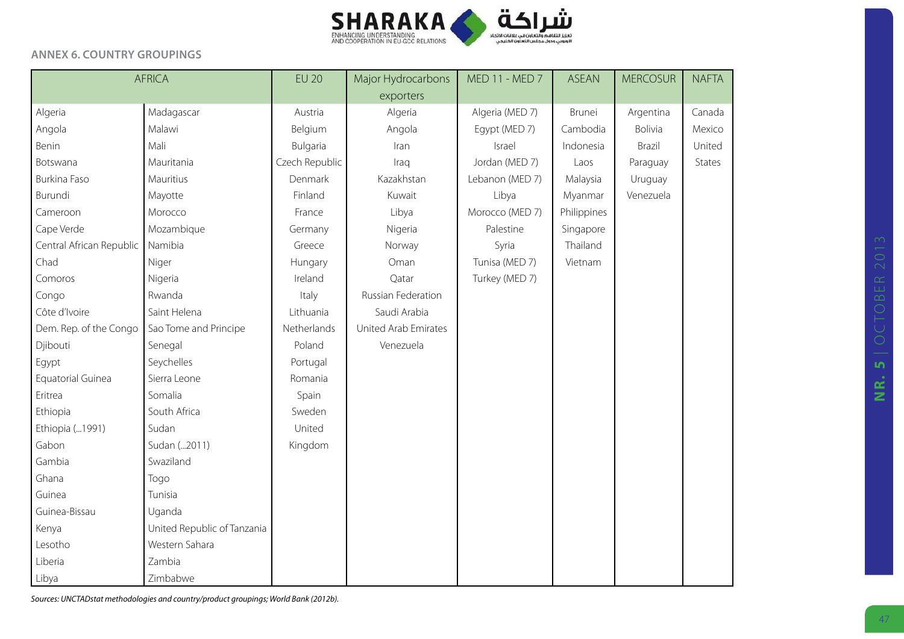

#### **Annex 6. Country groupings**

|                          | <b>AFRICA</b>               |                | Major Hydrocarbons   | MED 11 - MED 7  | <b>ASEAN</b> | <b>MERCOSUR</b> | <b>NAFTA</b> |
|--------------------------|-----------------------------|----------------|----------------------|-----------------|--------------|-----------------|--------------|
|                          |                             |                | exporters            |                 |              |                 |              |
| Algeria                  | Madagascar                  | Austria        | Algeria              | Algeria (MED 7) | Brunei       | Argentina       | Canada       |
| Angola                   | Malawi                      | Belgium        | Angola               | Egypt (MED 7)   | Cambodia     | Bolivia         | Mexico       |
| Benin                    | Mali                        | Bulgaria       | Iran                 | Israel          | Indonesia    | Brazil          | United       |
| Botswana                 | Mauritania                  | Czech Republic | Iraq                 | Jordan (MED 7)  | Laos         | Paraguay        | States       |
| Burkina Faso             | Mauritius                   | Denmark        | Kazakhstan           | Lebanon (MED 7) | Malaysia     | Uruguay         |              |
| Burundi                  | Mayotte                     | Finland        | Kuwait               | Libya           | Myanmar      | Venezuela       |              |
| Cameroon                 | Morocco                     | France         | Libya                | Morocco (MED 7) | Philippines  |                 |              |
| Cape Verde               | Mozambique                  | Germany        | Nigeria              | Palestine       | Singapore    |                 |              |
| Central African Republic | Namibia                     | Greece         | Norway               | Syria           | Thailand     |                 |              |
| Chad                     | Niger                       | Hungary        | Oman                 | Tunisa (MED 7)  | Vietnam      |                 |              |
| Comoros                  | Nigeria                     | Ireland        | Qatar                | Turkey (MED 7)  |              |                 |              |
| Congo                    | Rwanda                      | Italy          | Russian Federation   |                 |              |                 |              |
| Côte d'Ivoire            | Saint Helena                | Lithuania      | Saudi Arabia         |                 |              |                 |              |
| Dem. Rep. of the Congo   | Sao Tome and Principe       | Netherlands    | United Arab Emirates |                 |              |                 |              |
| Djibouti                 | Senegal                     | Poland         | Venezuela            |                 |              |                 |              |
| Egypt                    | Seychelles                  | Portugal       |                      |                 |              |                 |              |
| Equatorial Guinea        | Sierra Leone                | Romania        |                      |                 |              |                 |              |
| Eritrea                  | Somalia                     | Spain          |                      |                 |              |                 |              |
| Ethiopia                 | South Africa                | Sweden         |                      |                 |              |                 |              |
| Ethiopia ( 1991)         | Sudan                       | United         |                      |                 |              |                 |              |
| Gabon                    | Sudan (2011)                | Kingdom        |                      |                 |              |                 |              |
| Gambia                   | Swaziland                   |                |                      |                 |              |                 |              |
| Ghana                    | Togo                        |                |                      |                 |              |                 |              |
| Guinea                   | Tunisia                     |                |                      |                 |              |                 |              |
| Guinea-Bissau            | Uganda                      |                |                      |                 |              |                 |              |
| Kenya                    | United Republic of Tanzania |                |                      |                 |              |                 |              |
| Lesotho                  | Western Sahara              |                |                      |                 |              |                 |              |
| Liberia                  | Zambia                      |                |                      |                 |              |                 |              |
| Libya                    | Zimbabwe                    |                |                      |                 |              |                 |              |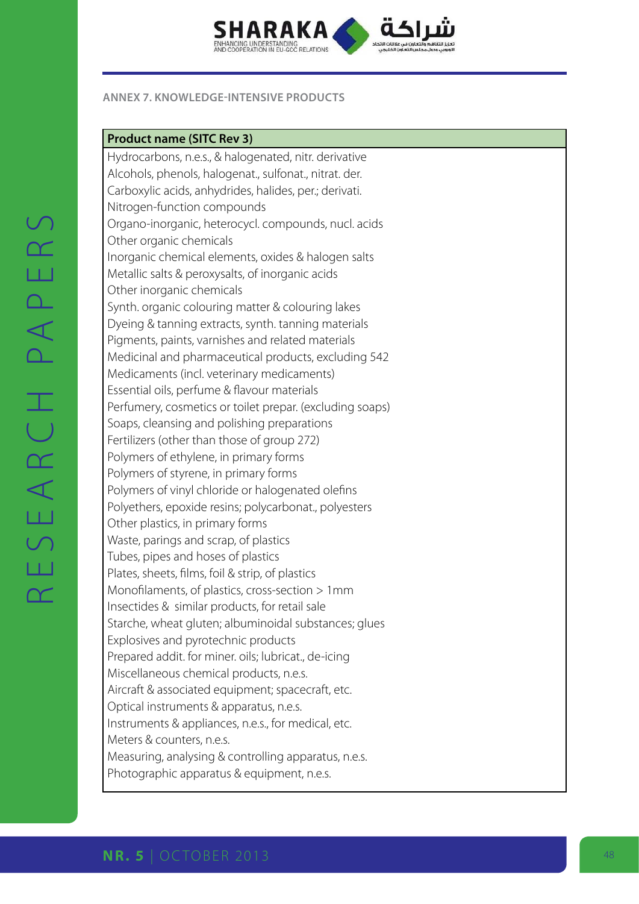

#### **ANNEX 7. KNOWLEDGE-INTENSIVE PRODUCTS**

#### **Product name ( SITC Rev 3)**

Hydrocarbons, n.e.s., & halogenated, nitr. derivative Alcohols, phenols, halogenat., sulfonat., nitrat. der. Carboxylic acids, anhydrides, halides, per.; derivati. Nitrogen-function compounds Organo-inorganic, heterocycl. compounds, nucl. acids Other organic chemicals Inorganic chemical elements, oxides & halogen salts Metallic salts & peroxysalts, of inorganic acids Other inorganic chemicals Synth. organic colouring matter & colouring lakes Dyeing & tanning extracts, synth. tanning materials Pigments, paints, varnishes and related materials Medicinal and pharmaceutical products, excluding 542 Medicaments (incl. veterinary medicaments) Essential oils, perfume & flavour materials Perfumery, cosmetics or toilet prepar. (excluding soaps) Soaps, cleansing and polishing preparations Fertilizers (other than those of group 272) Polymers of ethylene, in primary forms Polymers of styrene, in primary forms Polymers of vinyl chloride or halogenated olefins Polyethers, epoxide resins; polycarbonat., polyesters Other plastics, in primary forms Waste, parings and scrap, of plastics Tubes, pipes and hoses of plastics Plates, sheets, films, foil & strip, of plastics Monofilaments, of plastics, cross-section > 1mm Insectides & similar products, for retail sale Starche, wheat gluten; albuminoidal substances; glues Explosives and pyrotechnic products Prepared addit. for miner. oils; lubricat., de-icing Miscellaneous chemical products, n.e.s. Aircraft & associated equipment; spacecraft, etc. Optical instruments & apparatus, n.e.s. Instruments & appliances, n.e.s., for medical, etc. Meters & counters, n.e.s. Measuring, analysing & controlling apparatus, n.e.s. Photographic apparatus & equipment, n.e.s.